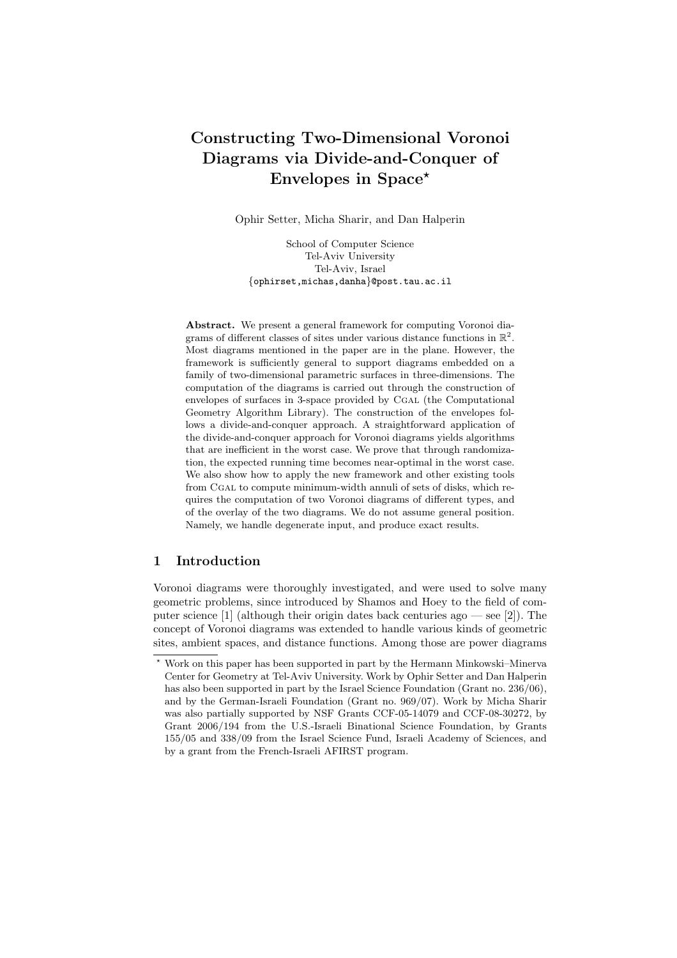# Constructing Two-Dimensional Voronoi Diagrams via Divide-and-Conquer of Envelopes in Space<sup>\*</sup>

Ophir Setter, Micha Sharir, and Dan Halperin

School of Computer Science Tel-Aviv University Tel-Aviv, Israel {ophirset,michas,danha}@post.tau.ac.il

Abstract. We present a general framework for computing Voronoi diagrams of different classes of sites under various distance functions in  $\mathbb{R}^2$ . Most diagrams mentioned in the paper are in the plane. However, the framework is sufficiently general to support diagrams embedded on a family of two-dimensional parametric surfaces in three-dimensions. The computation of the diagrams is carried out through the construction of envelopes of surfaces in 3-space provided by CGAL (the Computational Geometry Algorithm Library). The construction of the envelopes follows a divide-and-conquer approach. A straightforward application of the divide-and-conquer approach for Voronoi diagrams yields algorithms that are inefficient in the worst case. We prove that through randomization, the expected running time becomes near-optimal in the worst case. We also show how to apply the new framework and other existing tools from Cgal to compute minimum-width annuli of sets of disks, which requires the computation of two Voronoi diagrams of different types, and of the overlay of the two diagrams. We do not assume general position. Namely, we handle degenerate input, and produce exact results.

## 1 Introduction

Voronoi diagrams were thoroughly investigated, and were used to solve many geometric problems, since introduced by Shamos and Hoey to the field of computer science  $[1]$  (although their origin dates back centuries ago — see  $[2]$ ). The concept of Voronoi diagrams was extended to handle various kinds of geometric sites, ambient spaces, and distance functions. Among those are power diagrams

Work on this paper has been supported in part by the Hermann Minkowski–Minerva Center for Geometry at Tel-Aviv University. Work by Ophir Setter and Dan Halperin has also been supported in part by the Israel Science Foundation (Grant no. 236/06), and by the German-Israeli Foundation (Grant no. 969/07). Work by Micha Sharir was also partially supported by NSF Grants CCF-05-14079 and CCF-08-30272, by Grant 2006/194 from the U.S.-Israeli Binational Science Foundation, by Grants 155/05 and 338/09 from the Israel Science Fund, Israeli Academy of Sciences, and by a grant from the French-Israeli AFIRST program.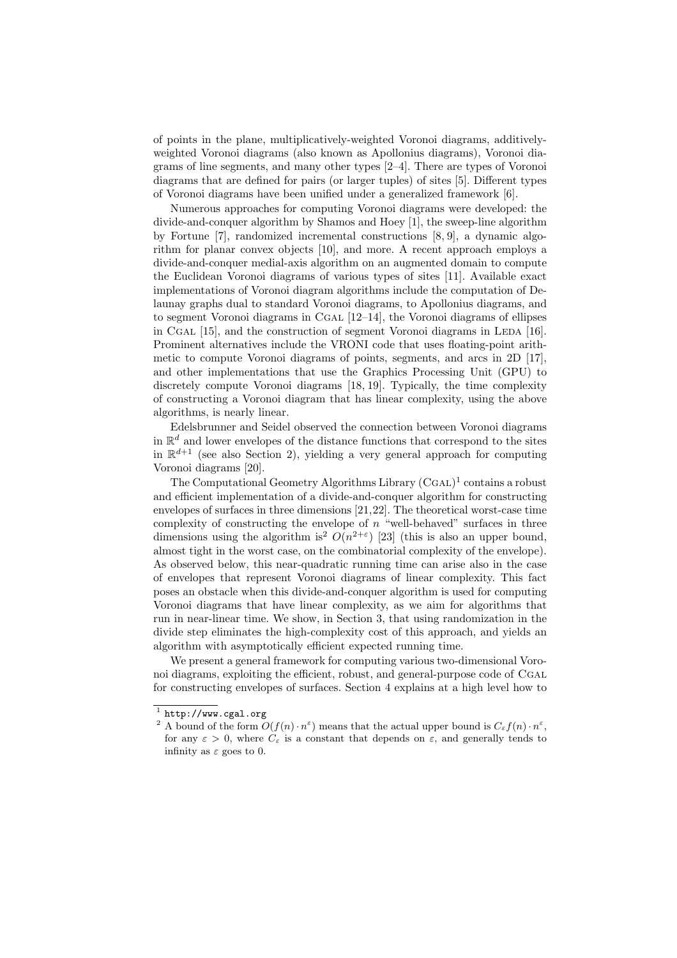of points in the plane, multiplicatively-weighted Voronoi diagrams, additivelyweighted Voronoi diagrams (also known as Apollonius diagrams), Voronoi diagrams of line segments, and many other types [2–4]. There are types of Voronoi diagrams that are defined for pairs (or larger tuples) of sites [5]. Different types of Voronoi diagrams have been unified under a generalized framework [6].

Numerous approaches for computing Voronoi diagrams were developed: the divide-and-conquer algorithm by Shamos and Hoey [1], the sweep-line algorithm by Fortune [7], randomized incremental constructions [8, 9], a dynamic algorithm for planar convex objects [10], and more. A recent approach employs a divide-and-conquer medial-axis algorithm on an augmented domain to compute the Euclidean Voronoi diagrams of various types of sites [11]. Available exact implementations of Voronoi diagram algorithms include the computation of Delaunay graphs dual to standard Voronoi diagrams, to Apollonius diagrams, and to segment Voronoi diagrams in CGAL [12–14], the Voronoi diagrams of ellipses in CGAL  $[15]$ , and the construction of segment Voronoi diagrams in LEDA  $[16]$ . Prominent alternatives include the VRONI code that uses floating-point arithmetic to compute Voronoi diagrams of points, segments, and arcs in 2D [17], and other implementations that use the Graphics Processing Unit (GPU) to discretely compute Voronoi diagrams [18, 19]. Typically, the time complexity of constructing a Voronoi diagram that has linear complexity, using the above algorithms, is nearly linear.

Edelsbrunner and Seidel observed the connection between Voronoi diagrams in  $\mathbb{R}^d$  and lower envelopes of the distance functions that correspond to the sites in  $\mathbb{R}^{d+1}$  (see also Section 2), yielding a very general approach for computing Voronoi diagrams [20].

The Computational Geometry Algorithms Library (CGAL)<sup>1</sup> contains a robust and efficient implementation of a divide-and-conquer algorithm for constructing envelopes of surfaces in three dimensions [21,22]. The theoretical worst-case time complexity of constructing the envelope of  $n$  "well-behaved" surfaces in three dimensions using the algorithm is<sup>2</sup>  $O(n^{2+\epsilon})$  [23] (this is also an upper bound, almost tight in the worst case, on the combinatorial complexity of the envelope). As observed below, this near-quadratic running time can arise also in the case of envelopes that represent Voronoi diagrams of linear complexity. This fact poses an obstacle when this divide-and-conquer algorithm is used for computing Voronoi diagrams that have linear complexity, as we aim for algorithms that run in near-linear time. We show, in Section 3, that using randomization in the divide step eliminates the high-complexity cost of this approach, and yields an algorithm with asymptotically efficient expected running time.

We present a general framework for computing various two-dimensional Voronoi diagrams, exploiting the efficient, robust, and general-purpose code of CGAL for constructing envelopes of surfaces. Section 4 explains at a high level how to

 $1$  http://www.cgal.org

<sup>&</sup>lt;sup>2</sup> A bound of the form  $O(f(n) \cdot n^{\epsilon})$  means that the actual upper bound is  $C_{\epsilon} f(n) \cdot n^{\epsilon}$ , for any  $\varepsilon > 0$ , where  $C_{\varepsilon}$  is a constant that depends on  $\varepsilon$ , and generally tends to infinity as  $\varepsilon$  goes to 0.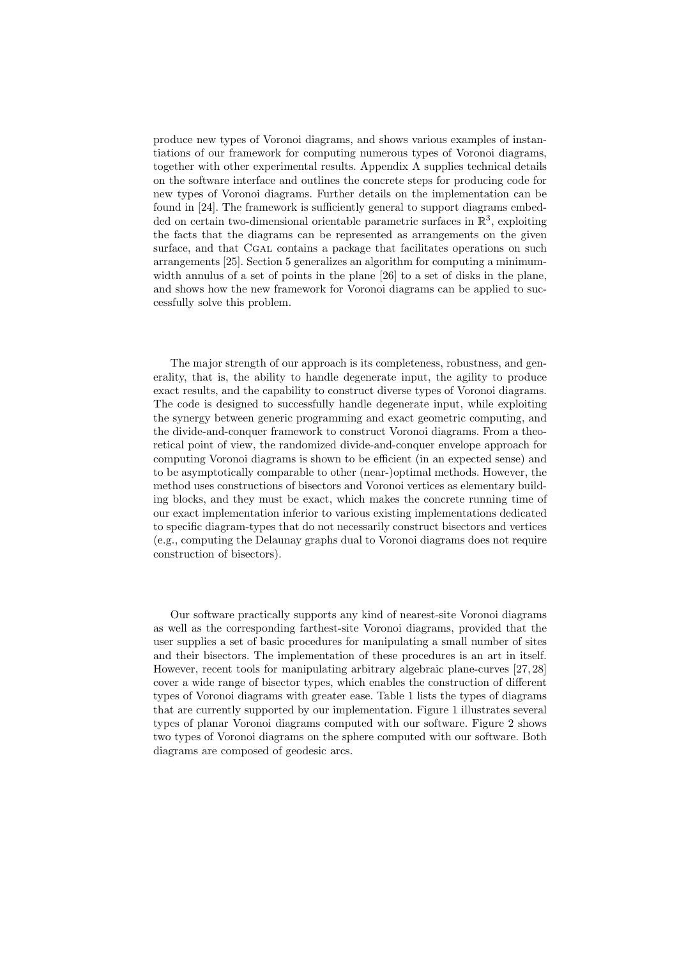produce new types of Voronoi diagrams, and shows various examples of instantiations of our framework for computing numerous types of Voronoi diagrams, together with other experimental results. Appendix A supplies technical details on the software interface and outlines the concrete steps for producing code for new types of Voronoi diagrams. Further details on the implementation can be found in [24]. The framework is sufficiently general to support diagrams embedded on certain two-dimensional orientable parametric surfaces in  $\mathbb{R}^3$ , exploiting the facts that the diagrams can be represented as arrangements on the given surface, and that CGAL contains a package that facilitates operations on such arrangements [25]. Section 5 generalizes an algorithm for computing a minimumwidth annulus of a set of points in the plane [26] to a set of disks in the plane, and shows how the new framework for Voronoi diagrams can be applied to successfully solve this problem.

The major strength of our approach is its completeness, robustness, and generality, that is, the ability to handle degenerate input, the agility to produce exact results, and the capability to construct diverse types of Voronoi diagrams. The code is designed to successfully handle degenerate input, while exploiting the synergy between generic programming and exact geometric computing, and the divide-and-conquer framework to construct Voronoi diagrams. From a theoretical point of view, the randomized divide-and-conquer envelope approach for computing Voronoi diagrams is shown to be efficient (in an expected sense) and to be asymptotically comparable to other (near-)optimal methods. However, the method uses constructions of bisectors and Voronoi vertices as elementary building blocks, and they must be exact, which makes the concrete running time of our exact implementation inferior to various existing implementations dedicated to specific diagram-types that do not necessarily construct bisectors and vertices (e.g., computing the Delaunay graphs dual to Voronoi diagrams does not require construction of bisectors).

Our software practically supports any kind of nearest-site Voronoi diagrams as well as the corresponding farthest-site Voronoi diagrams, provided that the user supplies a set of basic procedures for manipulating a small number of sites and their bisectors. The implementation of these procedures is an art in itself. However, recent tools for manipulating arbitrary algebraic plane-curves [27, 28] cover a wide range of bisector types, which enables the construction of different types of Voronoi diagrams with greater ease. Table 1 lists the types of diagrams that are currently supported by our implementation. Figure 1 illustrates several types of planar Voronoi diagrams computed with our software. Figure 2 shows two types of Voronoi diagrams on the sphere computed with our software. Both diagrams are composed of geodesic arcs.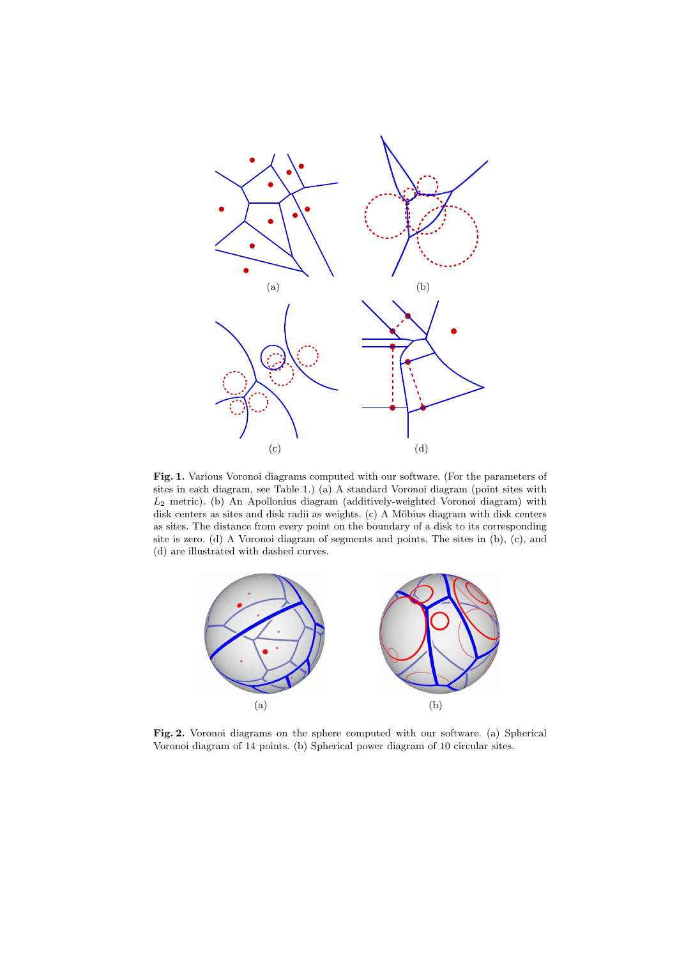

Fig. 1. Various Voronoi diagrams computed with our software. (For the parameters of sites in each diagram, see Table 1.) (a) A standard Voronoi diagram (point sites with  $L_2$  metric). (b) An Apollonius diagram (additively-weighted Voronoi diagram) with disk centers as sites and disk radii as weights. (c) A Möbius diagram with disk centers as sites. The distance from every point on the boundary of a disk to its corresponding site is zero. (d) A Voronoi diagram of segments and points. The sites in (b), (c), and (d) are illustrated with dashed curves.



Fig. 2. Voronoi diagrams on the sphere computed with our software. (a) Spherical Voronoi diagram of 14 points. (b) Spherical power diagram of 10 circular sites.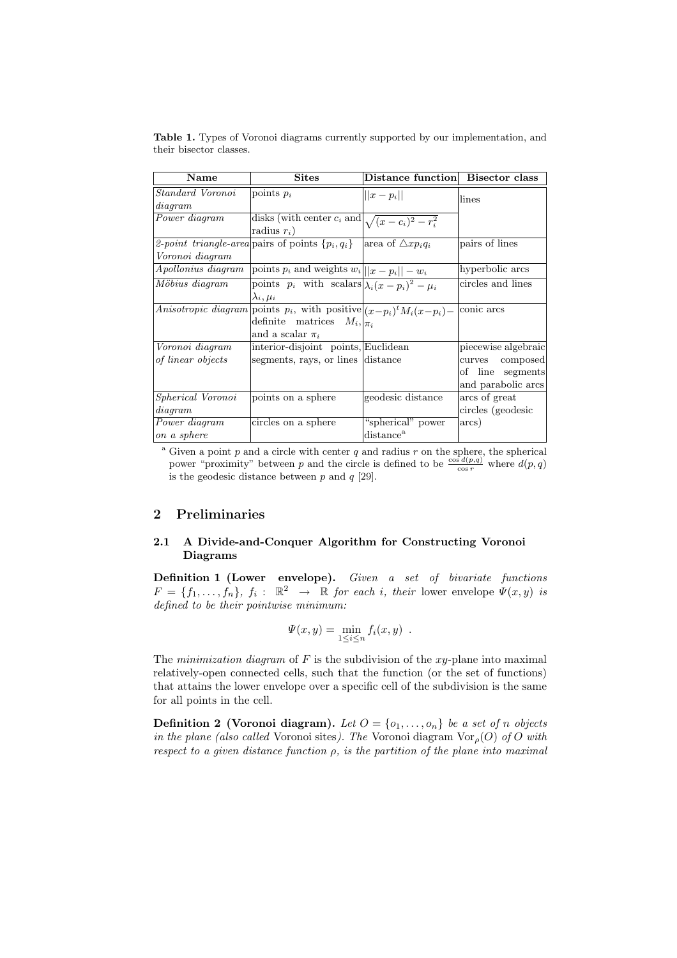| Name                        | <b>Sites</b>                                                               | Distance function           | <b>Bisector</b> class |
|-----------------------------|----------------------------------------------------------------------------|-----------------------------|-----------------------|
| Standard Voronoi<br>diagram | points $p_i$                                                               | $  x-p_i  $                 | lines                 |
| Power diagram               | disks (with center $c_i$ and $\sqrt{(x-c_i)^2-r_i^2}$<br>radius $r_i$ )    |                             |                       |
|                             | 2-point triangle-area pairs of points $\{p_i, q_i\}$                       | area of $\triangle xp_iq_i$ | pairs of lines        |
| Voronoi diagram             |                                                                            |                             |                       |
| Apollonius diagram          | points $p_i$ and weights $w_i   x - p_i   - w_i$                           |                             | hyperbolic arcs       |
| Möbius diagram              | points $p_i$ with scalars $ \lambda_i(x-p_i)^2 - \mu_i $                   |                             | circles and lines     |
|                             | $\lambda_i, \mu_i$                                                         |                             |                       |
|                             | Anisotropic diagram points $p_i$ , with positive $ (x-p_i)^t M_i(x-p_i) -$ |                             | conic arcs            |
|                             | definite matrices $M_i,  _{\pi_i}$<br>and a scalar $\pi_i$                 |                             |                       |
| Voronoi diagram             | interior-disjoint points, Euclidean                                        |                             | piecewise algebraic   |
| <i>of linear objects</i>    | segments, rays, or lines distance                                          |                             | composed<br>curves    |
|                             |                                                                            |                             | of line segments      |
|                             |                                                                            |                             | and parabolic arcs    |
| <i>Spherical Voronoi</i>    | points on a sphere                                                         | geodesic distance           | arcs of great         |
| diagram                     |                                                                            |                             | circles (geodesic     |
| Power diagram               | circles on a sphere                                                        | "spherical" power           | arcs)                 |
| on a sphere                 |                                                                            | distance <sup>a</sup>       |                       |

Table 1. Types of Voronoi diagrams currently supported by our implementation, and their bisector classes.

<sup>a</sup> Given a point  $p$  and a circle with center  $q$  and radius  $r$  on the sphere, the spherical power "proximity" between p and the circle is defined to be  $\frac{\cos d(p,q)}{\cos r}$  where  $d(p,q)$ is the geodesic distance between  $p$  and  $q$  [29].

#### 2 Preliminaries

### 2.1 A Divide-and-Conquer Algorithm for Constructing Voronoi Diagrams

Definition 1 (Lower envelope). *Given a set of bivariate functions*  $F = \{f_1, \ldots, f_n\}, f_i: \mathbb{R}^2 \to \mathbb{R}$  *for each i, their* lower envelope  $\Psi(x, y)$  *is defined to be their pointwise minimum:*

$$
\Psi(x,y) = \min_{1 \le i \le n} f_i(x,y) .
$$

The *minimization diagram* of F is the subdivision of the xy-plane into maximal relatively-open connected cells, such that the function (or the set of functions) that attains the lower envelope over a specific cell of the subdivision is the same for all points in the cell.

**Definition 2 (Voronoi diagram).** Let  $O = \{o_1, \ldots, o_n\}$  be a set of n objects *in the plane (also called Voronoi sites). The Voronoi diagram*  $\text{Vor}_{\rho}(O)$  *of* O *with respect to a given distance function* ρ*, is the partition of the plane into maximal*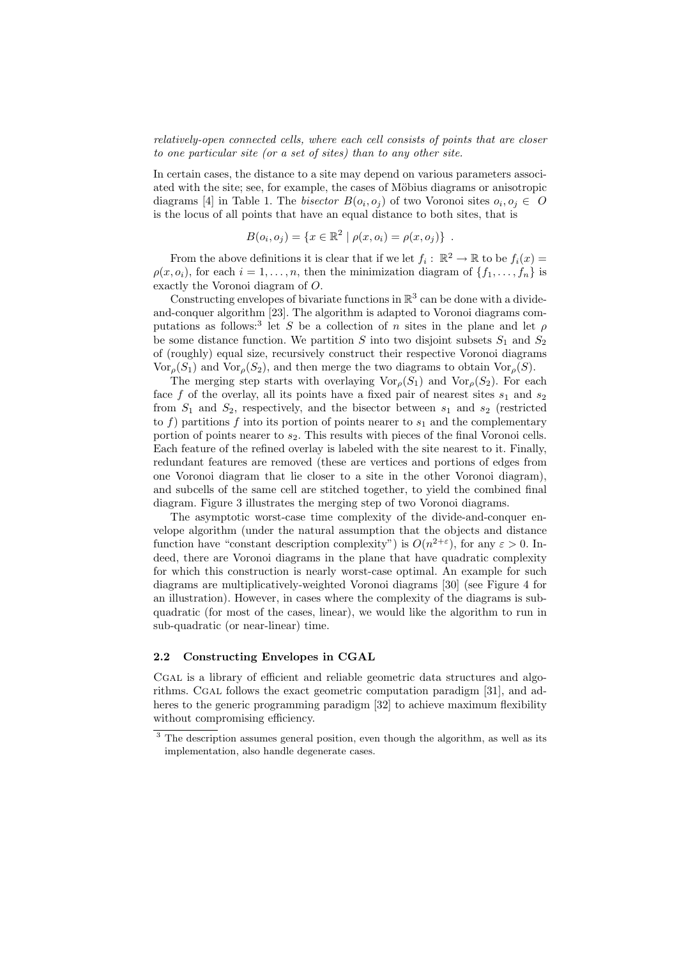*relatively-open connected cells, where each cell consists of points that are closer to one particular site (or a set of sites) than to any other site.*

In certain cases, the distance to a site may depend on various parameters associated with the site; see, for example, the cases of Möbius diagrams or anisotropic diagrams [4] in Table 1. The *bisector*  $B(o_i, o_j)$  of two Voronoi sites  $o_i, o_j \in O$ is the locus of all points that have an equal distance to both sites, that is

$$
B(o_i, o_j) = \{x \in \mathbb{R}^2 \mid \rho(x, o_i) = \rho(x, o_j)\} .
$$

From the above definitions it is clear that if we let  $f_i: \mathbb{R}^2 \to \mathbb{R}$  to be  $f_i(x) =$  $\rho(x, o_i)$ , for each  $i = 1, \ldots, n$ , then the minimization diagram of  $\{f_1, \ldots, f_n\}$  is exactly the Voronoi diagram of O.

Constructing envelopes of bivariate functions in  $\mathbb{R}^3$  can be done with a divideand-conquer algorithm [23]. The algorithm is adapted to Voronoi diagrams computations as follows:<sup>3</sup> let S be a collection of n sites in the plane and let  $\rho$ be some distance function. We partition S into two disjoint subsets  $S_1$  and  $S_2$ of (roughly) equal size, recursively construct their respective Voronoi diagrams  $\text{Vor}_{\rho}(S_1)$  and  $\text{Vor}_{\rho}(S_2)$ , and then merge the two diagrams to obtain  $\text{Vor}_{\rho}(S)$ .

The merging step starts with overlaying  $\text{Vor}_{\rho}(S_1)$  and  $\text{Vor}_{\rho}(S_2)$ . For each face f of the overlay, all its points have a fixed pair of nearest sites  $s_1$  and  $s_2$ from  $S_1$  and  $S_2$ , respectively, and the bisector between  $s_1$  and  $s_2$  (restricted to f) partitions f into its portion of points nearer to  $s_1$  and the complementary portion of points nearer to  $s_2$ . This results with pieces of the final Voronoi cells. Each feature of the refined overlay is labeled with the site nearest to it. Finally, redundant features are removed (these are vertices and portions of edges from one Voronoi diagram that lie closer to a site in the other Voronoi diagram), and subcells of the same cell are stitched together, to yield the combined final diagram. Figure 3 illustrates the merging step of two Voronoi diagrams.

The asymptotic worst-case time complexity of the divide-and-conquer envelope algorithm (under the natural assumption that the objects and distance function have "constant description complexity") is  $O(n^{2+\epsilon})$ , for any  $\epsilon > 0$ . Indeed, there are Voronoi diagrams in the plane that have quadratic complexity for which this construction is nearly worst-case optimal. An example for such diagrams are multiplicatively-weighted Voronoi diagrams [30] (see Figure 4 for an illustration). However, in cases where the complexity of the diagrams is subquadratic (for most of the cases, linear), we would like the algorithm to run in sub-quadratic (or near-linear) time.

#### 2.2 Constructing Envelopes in CGAL

Cgal is a library of efficient and reliable geometric data structures and algorithms. CGAL follows the exact geometric computation paradigm [31], and adheres to the generic programming paradigm [32] to achieve maximum flexibility without compromising efficiency.

<sup>&</sup>lt;sup>3</sup> The description assumes general position, even though the algorithm, as well as its implementation, also handle degenerate cases.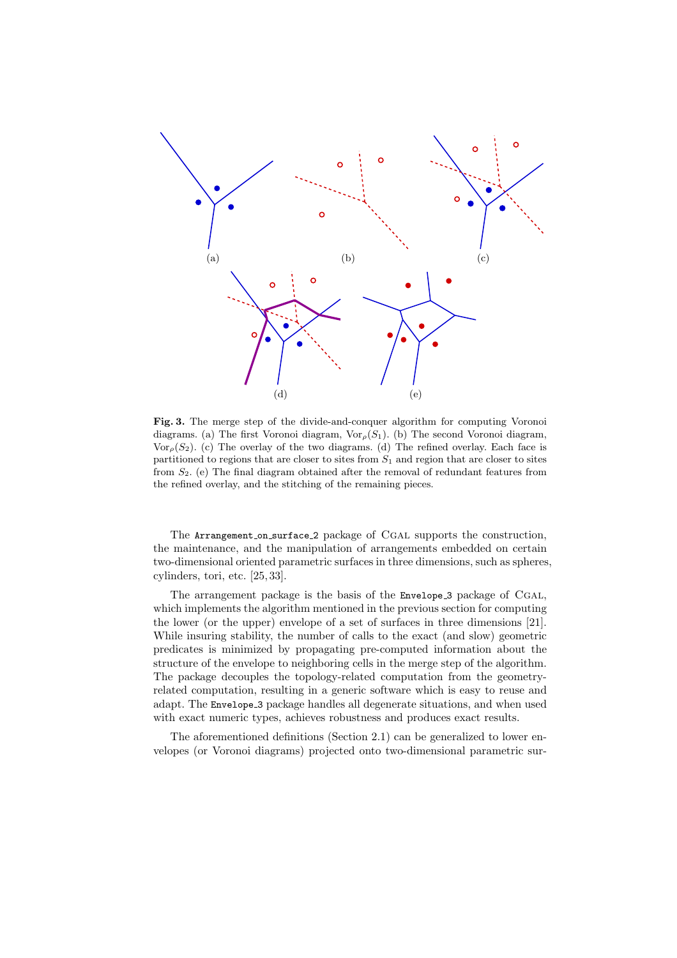

Fig. 3. The merge step of the divide-and-conquer algorithm for computing Voronoi diagrams. (a) The first Voronoi diagram,  $\text{Vor}_{\rho}(S_1)$ . (b) The second Voronoi diagram,  $\text{Vor}_{\rho}(S_2)$ . (c) The overlay of the two diagrams. (d) The refined overlay. Each face is partitioned to regions that are closer to sites from  $S_1$  and region that are closer to sites from  $S_2$ . (e) The final diagram obtained after the removal of redundant features from the refined overlay, and the stitching of the remaining pieces.

The Arrangement on surface 2 package of CGAL supports the construction, the maintenance, and the manipulation of arrangements embedded on certain two-dimensional oriented parametric surfaces in three dimensions, such as spheres, cylinders, tori, etc. [25, 33].

The arrangement package is the basis of the Envelope<sub>-3</sub> package of CGAL, which implements the algorithm mentioned in the previous section for computing the lower (or the upper) envelope of a set of surfaces in three dimensions [21]. While insuring stability, the number of calls to the exact (and slow) geometric predicates is minimized by propagating pre-computed information about the structure of the envelope to neighboring cells in the merge step of the algorithm. The package decouples the topology-related computation from the geometryrelated computation, resulting in a generic software which is easy to reuse and adapt. The Envelope 3 package handles all degenerate situations, and when used with exact numeric types, achieves robustness and produces exact results.

The aforementioned definitions (Section 2.1) can be generalized to lower envelopes (or Voronoi diagrams) projected onto two-dimensional parametric sur-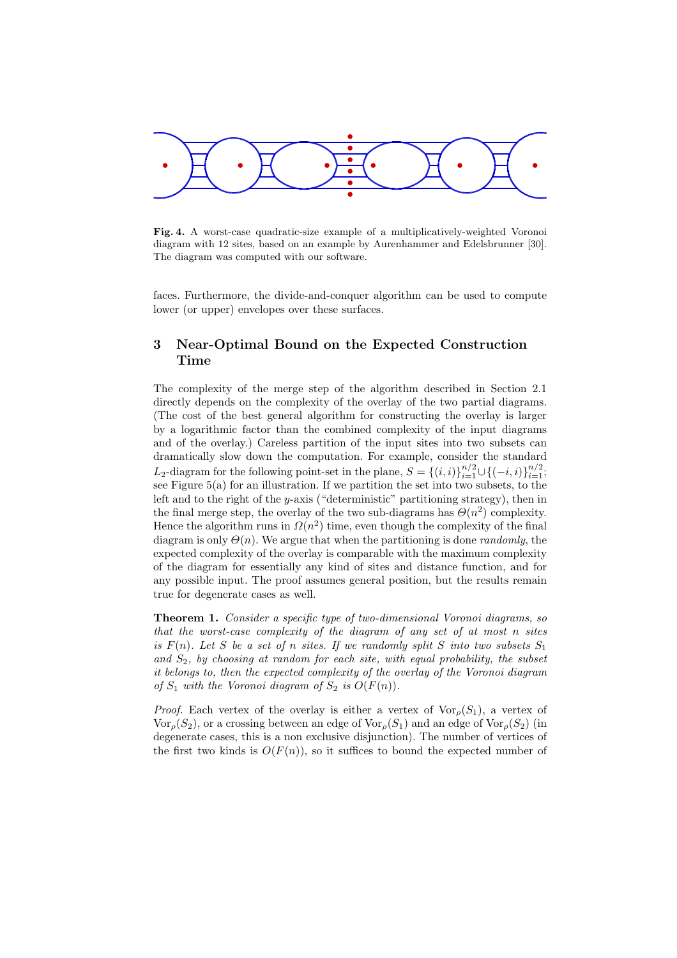

Fig. 4. A worst-case quadratic-size example of a multiplicatively-weighted Voronoi diagram with 12 sites, based on an example by Aurenhammer and Edelsbrunner [30]. The diagram was computed with our software.

faces. Furthermore, the divide-and-conquer algorithm can be used to compute lower (or upper) envelopes over these surfaces.

# 3 Near-Optimal Bound on the Expected Construction Time

The complexity of the merge step of the algorithm described in Section 2.1 directly depends on the complexity of the overlay of the two partial diagrams. (The cost of the best general algorithm for constructing the overlay is larger by a logarithmic factor than the combined complexity of the input diagrams and of the overlay.) Careless partition of the input sites into two subsets can dramatically slow down the computation. For example, consider the standard L<sub>2</sub>-diagram for the following point-set in the plane,  $S = \{(i, i)\}_{i=1}^{n/2} \cup \{(-i, i)\}_{i=1}^{n/2}$ ; see Figure 5(a) for an illustration. If we partition the set into two subsets, to the left and to the right of the y-axis ("deterministic" partitioning strategy), then in the final merge step, the overlay of the two sub-diagrams has  $\Theta(n^2)$  complexity. Hence the algorithm runs in  $\Omega(n^2)$  time, even though the complexity of the final diagram is only  $\Theta(n)$ . We argue that when the partitioning is done *randomly*, the expected complexity of the overlay is comparable with the maximum complexity of the diagram for essentially any kind of sites and distance function, and for any possible input. The proof assumes general position, but the results remain true for degenerate cases as well.

Theorem 1. *Consider a specific type of two-dimensional Voronoi diagrams, so that the worst-case complexity of the diagram of any set of at most* n *sites is*  $F(n)$ *. Let* S *be a set of* n *sites. If we randomly split* S *into two subsets*  $S_1$ and  $S_2$ , by choosing at random for each site, with equal probability, the subset *it belongs to, then the expected complexity of the overlay of the Voronoi diagram* of  $S_1$  *with the Voronoi diagram of*  $S_2$  *is*  $O(F(n))$ *.* 

*Proof.* Each vertex of the overlay is either a vertex of  $\text{Vor}_{\rho}(S_1)$ , a vertex of  $\text{Vor}_\rho(S_2)$ , or a crossing between an edge of  $\text{Vor}_\rho(S_1)$  and an edge of  $\text{Vor}_\rho(S_2)$  (in degenerate cases, this is a non exclusive disjunction). The number of vertices of the first two kinds is  $O(F(n))$ , so it suffices to bound the expected number of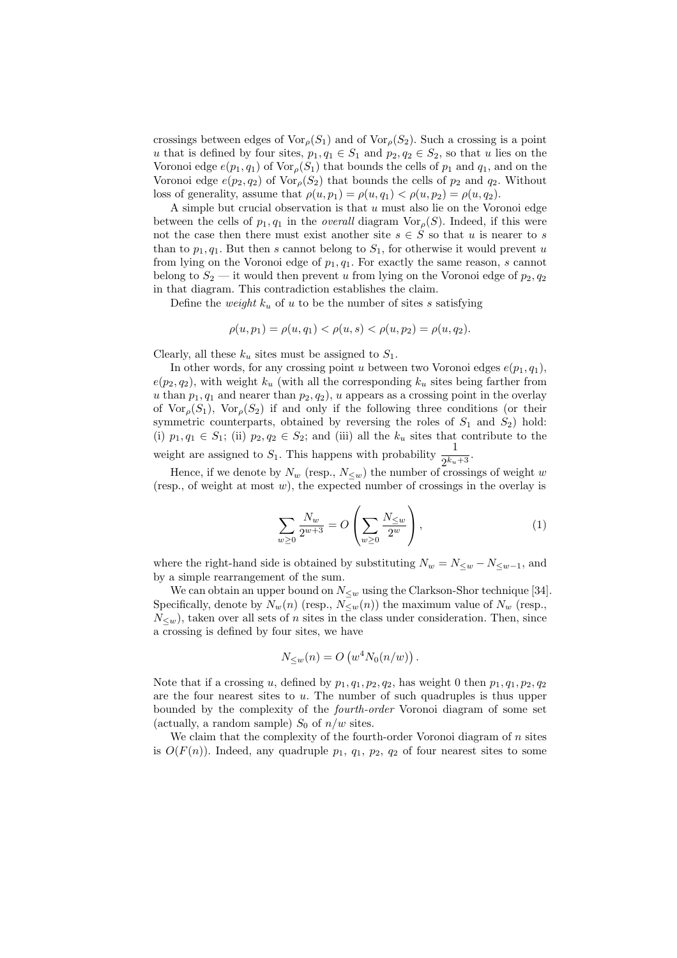crossings between edges of  $\text{Vor}_{\rho}(S_1)$  and of  $\text{Vor}_{\rho}(S_2)$ . Such a crossing is a point u that is defined by four sites,  $p_1, q_1 \in S_1$  and  $p_2, q_2 \in S_2$ , so that u lies on the Voronoi edge  $e(p_1, q_1)$  of  $\text{Vor}_{\rho}(S_1)$  that bounds the cells of  $p_1$  and  $q_1$ , and on the Voronoi edge  $e(p_2, q_2)$  of  $\text{Vor}_{\rho}(S_2)$  that bounds the cells of  $p_2$  and  $q_2$ . Without loss of generality, assume that  $\rho(u, p_1) = \rho(u, q_1) < \rho(u, p_2) = \rho(u, q_2)$ .

A simple but crucial observation is that  $u$  must also lie on the Voronoi edge between the cells of  $p_1, q_1$  in the *overall* diagram  $\text{Vor}_{\rho}(S)$ . Indeed, if this were not the case then there must exist another site  $s \in S$  so that u is nearer to s than to  $p_1, q_1$ . But then s cannot belong to  $S_1$ , for otherwise it would prevent u from lying on the Voronoi edge of  $p_1, q_1$ . For exactly the same reason, s cannot belong to  $S_2$  — it would then prevent u from lying on the Voronoi edge of  $p_2, q_2$ in that diagram. This contradiction establishes the claim.

Define the *weight*  $k_u$  of u to be the number of sites s satisfying

$$
\rho(u, p_1) = \rho(u, q_1) < \rho(u, s) < \rho(u, p_2) = \rho(u, q_2).
$$

Clearly, all these  $k_u$  sites must be assigned to  $S_1$ .

In other words, for any crossing point u between two Voronoi edges  $e(p_1, q_1)$ ,  $e(p_2, q_2)$ , with weight  $k_u$  (with all the corresponding  $k_u$  sites being farther from u than  $p_1, q_1$  and nearer than  $p_2, q_2$ , u appears as a crossing point in the overlay of  $\text{Vor}_{\rho}(S_1)$ ,  $\text{Vor}_{\rho}(S_2)$  if and only if the following three conditions (or their symmetric counterparts, obtained by reversing the roles of  $S_1$  and  $S_2$ ) hold: (i)  $p_1, q_1 \in S_1$ ; (ii)  $p_2, q_2 \in S_2$ ; and (iii) all the  $k_u$  sites that contribute to the weight are assigned to  $S_1$ . This happens with probability  $\frac{1}{2^{k_u+3}}$ .

Hence, if we denote by  $N_w$  (resp.,  $N_{\leq w}$ ) the number of crossings of weight w (resp., of weight at most  $w$ ), the expected number of crossings in the overlay is

$$
\sum_{w\geq 0} \frac{N_w}{2^{w+3}} = O\left(\sum_{w\geq 0} \frac{N_{\leq w}}{2^w}\right),\tag{1}
$$

where the right-hand side is obtained by substituting  $N_w = N_{\leq w} - N_{\leq w-1}$ , and by a simple rearrangement of the sum.

We can obtain an upper bound on  $N_{\leq w}$  using the Clarkson-Shor technique [34]. Specifically, denote by  $N_w(n)$  (resp.,  $N_{\leq w}(n)$ ) the maximum value of  $N_w$  (resp.,  $N_{\leq w}$ , taken over all sets of *n* sites in the class under consideration. Then, since a crossing is defined by four sites, we have

$$
N_{\leq w}(n) = O\left(w^4 N_0(n/w)\right).
$$

Note that if a crossing u, defined by  $p_1, q_1, p_2, q_2$ , has weight 0 then  $p_1, q_1, p_2, q_2$ are the four nearest sites to  $u$ . The number of such quadruples is thus upper bounded by the complexity of the *fourth-order* Voronoi diagram of some set (actually, a random sample)  $S_0$  of  $n/w$  sites.

We claim that the complexity of the fourth-order Voronoi diagram of  $n$  sites is  $O(F(n))$ . Indeed, any quadruple  $p_1$ ,  $q_1$ ,  $p_2$ ,  $q_2$  of four nearest sites to some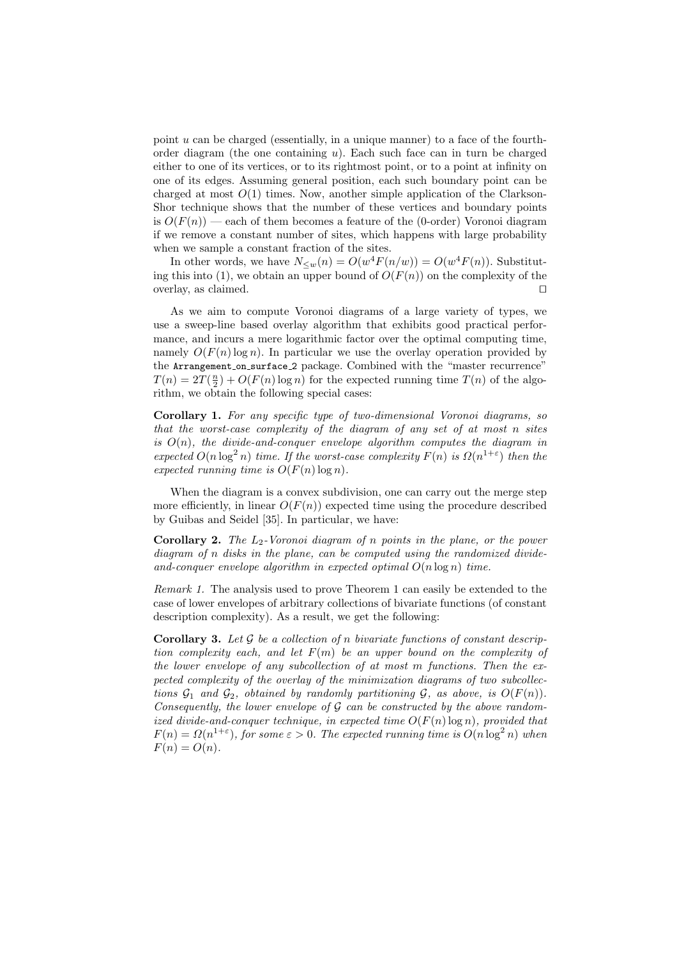point  $u$  can be charged (essentially, in a unique manner) to a face of the fourthorder diagram (the one containing  $u$ ). Each such face can in turn be charged either to one of its vertices, or to its rightmost point, or to a point at infinity on one of its edges. Assuming general position, each such boundary point can be charged at most  $O(1)$  times. Now, another simple application of the Clarkson-Shor technique shows that the number of these vertices and boundary points is  $O(F(n))$  — each of them becomes a feature of the (0-order) Voronoi diagram if we remove a constant number of sites, which happens with large probability when we sample a constant fraction of the sites.

In other words, we have  $N_{\leq w}(n) = O(w^4 F(n/w)) = O(w^4 F(n))$ . Substituting this into (1), we obtain an upper bound of  $O(F(n))$  on the complexity of the overlay, as claimed. ⊓⊔

As we aim to compute Voronoi diagrams of a large variety of types, we use a sweep-line based overlay algorithm that exhibits good practical performance, and incurs a mere logarithmic factor over the optimal computing time, namely  $O(F(n) \log n)$ . In particular we use the overlay operation provided by the Arrangement on surface 2 package. Combined with the "master recurrence"  $T(n) = 2T(\frac{n}{2}) + O(F(n) \log n)$  for the expected running time  $T(n)$  of the algorithm, we obtain the following special cases:

Corollary 1. *For any specific type of two-dimensional Voronoi diagrams, so that the worst-case complexity of the diagram of any set of at most* n *sites is*  $O(n)$ *, the divide-and-conquer envelope algorithm computes the diagram in expected*  $O(n \log^2 n)$  *time. If the worst-case complexity*  $F(n)$  *is*  $\Omega(n^{1+\epsilon})$  *then the expected running time is*  $O(F(n) \log n)$ *.* 

When the diagram is a convex subdivision, one can carry out the merge step more efficiently, in linear  $O(F(n))$  expected time using the procedure described by Guibas and Seidel [35]. In particular, we have:

Corollary 2. *The* L2*-Voronoi diagram of* n *points in the plane, or the power diagram of* n *disks in the plane, can be computed using the randomized divideand-conquer envelope algorithm in expected optimal* O(n log n) *time.*

*Remark 1.* The analysis used to prove Theorem 1 can easily be extended to the case of lower envelopes of arbitrary collections of bivariate functions (of constant description complexity). As a result, we get the following:

Corollary 3. *Let* G *be a collection of* n *bivariate functions of constant description complexity each, and let* F(m) *be an upper bound on the complexity of the lower envelope of any subcollection of at most* m *functions. Then the expected complexity of the overlay of the minimization diagrams of two subcollections*  $\mathcal{G}_1$  *and*  $\mathcal{G}_2$ *, obtained by randomly partitioning*  $\mathcal{G}_1$  *as above, is*  $O(F(n))$ *. Consequently, the lower envelope of* G *can be constructed by the above randomized divide-and-conquer technique, in expected time* O(F(n) log n)*, provided that*  $F(n) = \Omega(n^{1+\varepsilon}),$  for some  $\varepsilon > 0$ . The expected running time is  $O(n \log^2 n)$  when  $F(n) = O(n)$ .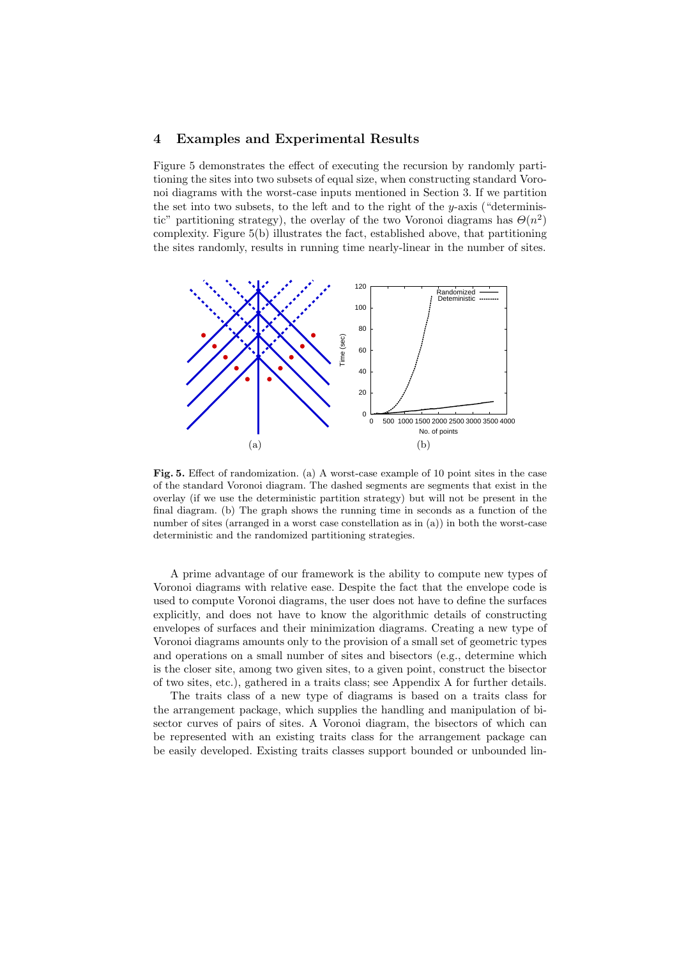#### 4 Examples and Experimental Results

Figure 5 demonstrates the effect of executing the recursion by randomly partitioning the sites into two subsets of equal size, when constructing standard Voronoi diagrams with the worst-case inputs mentioned in Section 3. If we partition the set into two subsets, to the left and to the right of the  $y$ -axis ("deterministic" partitioning strategy), the overlay of the two Voronoi diagrams has  $\Theta(n^2)$ complexity. Figure 5(b) illustrates the fact, established above, that partitioning the sites randomly, results in running time nearly-linear in the number of sites.



Fig. 5. Effect of randomization. (a) A worst-case example of 10 point sites in the case of the standard Voronoi diagram. The dashed segments are segments that exist in the overlay (if we use the deterministic partition strategy) but will not be present in the final diagram. (b) The graph shows the running time in seconds as a function of the number of sites (arranged in a worst case constellation as in (a)) in both the worst-case deterministic and the randomized partitioning strategies.

A prime advantage of our framework is the ability to compute new types of Voronoi diagrams with relative ease. Despite the fact that the envelope code is used to compute Voronoi diagrams, the user does not have to define the surfaces explicitly, and does not have to know the algorithmic details of constructing envelopes of surfaces and their minimization diagrams. Creating a new type of Voronoi diagrams amounts only to the provision of a small set of geometric types and operations on a small number of sites and bisectors (e.g., determine which is the closer site, among two given sites, to a given point, construct the bisector of two sites, etc.), gathered in a traits class; see Appendix A for further details.

The traits class of a new type of diagrams is based on a traits class for the arrangement package, which supplies the handling and manipulation of bisector curves of pairs of sites. A Voronoi diagram, the bisectors of which can be represented with an existing traits class for the arrangement package can be easily developed. Existing traits classes support bounded or unbounded lin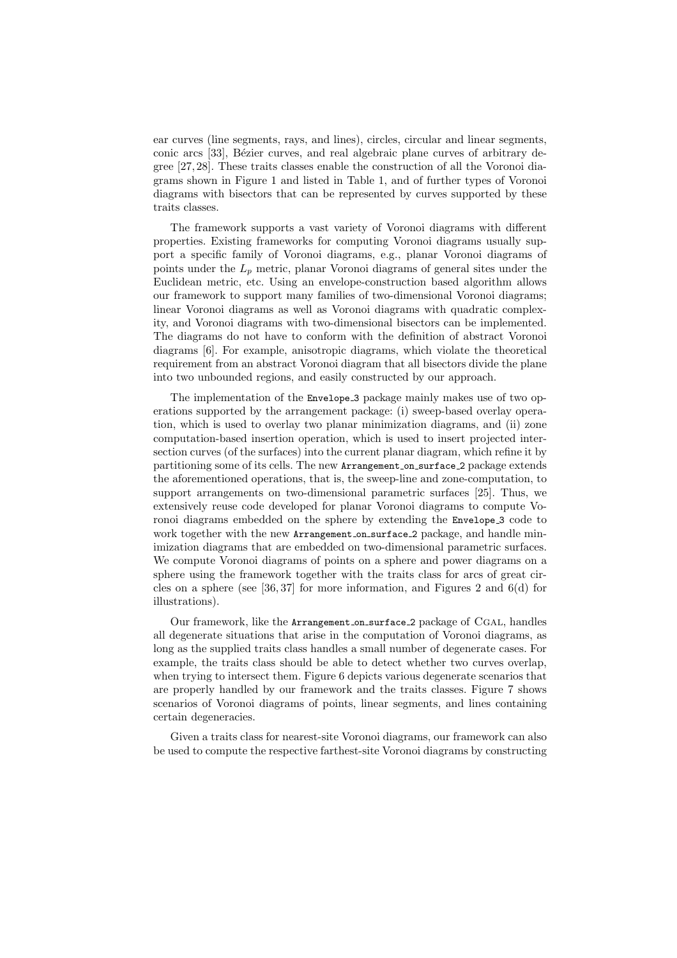ear curves (line segments, rays, and lines), circles, circular and linear segments, conic arcs [33], Bézier curves, and real algebraic plane curves of arbitrary degree [27, 28]. These traits classes enable the construction of all the Voronoi diagrams shown in Figure 1 and listed in Table 1, and of further types of Voronoi diagrams with bisectors that can be represented by curves supported by these traits classes.

The framework supports a vast variety of Voronoi diagrams with different properties. Existing frameworks for computing Voronoi diagrams usually support a specific family of Voronoi diagrams, e.g., planar Voronoi diagrams of points under the  $L_p$  metric, planar Voronoi diagrams of general sites under the Euclidean metric, etc. Using an envelope-construction based algorithm allows our framework to support many families of two-dimensional Voronoi diagrams; linear Voronoi diagrams as well as Voronoi diagrams with quadratic complexity, and Voronoi diagrams with two-dimensional bisectors can be implemented. The diagrams do not have to conform with the definition of abstract Voronoi diagrams [6]. For example, anisotropic diagrams, which violate the theoretical requirement from an abstract Voronoi diagram that all bisectors divide the plane into two unbounded regions, and easily constructed by our approach.

The implementation of the **Envelope**<sub>-3</sub> package mainly makes use of two operations supported by the arrangement package: (i) sweep-based overlay operation, which is used to overlay two planar minimization diagrams, and (ii) zone computation-based insertion operation, which is used to insert projected intersection curves (of the surfaces) into the current planar diagram, which refine it by partitioning some of its cells. The new Arrangement on surface 2 package extends the aforementioned operations, that is, the sweep-line and zone-computation, to support arrangements on two-dimensional parametric surfaces [25]. Thus, we extensively reuse code developed for planar Voronoi diagrams to compute Voronoi diagrams embedded on the sphere by extending the Envelope 3 code to work together with the new Arrangement\_on\_surface\_2 package, and handle minimization diagrams that are embedded on two-dimensional parametric surfaces. We compute Voronoi diagrams of points on a sphere and power diagrams on a sphere using the framework together with the traits class for arcs of great circles on a sphere (see [36, 37] for more information, and Figures 2 and 6(d) for illustrations).

Our framework, like the Arrangement on surface 2 package of CGAL, handles all degenerate situations that arise in the computation of Voronoi diagrams, as long as the supplied traits class handles a small number of degenerate cases. For example, the traits class should be able to detect whether two curves overlap, when trying to intersect them. Figure 6 depicts various degenerate scenarios that are properly handled by our framework and the traits classes. Figure 7 shows scenarios of Voronoi diagrams of points, linear segments, and lines containing certain degeneracies.

Given a traits class for nearest-site Voronoi diagrams, our framework can also be used to compute the respective farthest-site Voronoi diagrams by constructing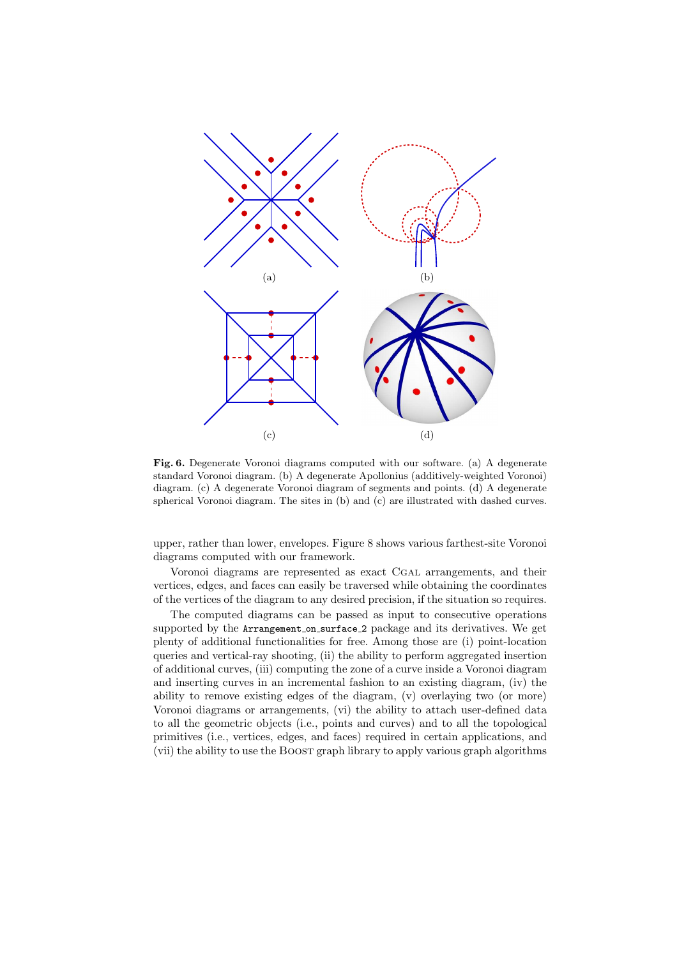

Fig. 6. Degenerate Voronoi diagrams computed with our software. (a) A degenerate standard Voronoi diagram. (b) A degenerate Apollonius (additively-weighted Voronoi) diagram. (c) A degenerate Voronoi diagram of segments and points. (d) A degenerate spherical Voronoi diagram. The sites in (b) and (c) are illustrated with dashed curves.

upper, rather than lower, envelopes. Figure 8 shows various farthest-site Voronoi diagrams computed with our framework.

Voronoi diagrams are represented as exact Cgal arrangements, and their vertices, edges, and faces can easily be traversed while obtaining the coordinates of the vertices of the diagram to any desired precision, if the situation so requires.

The computed diagrams can be passed as input to consecutive operations supported by the Arrangement on surface 2 package and its derivatives. We get plenty of additional functionalities for free. Among those are (i) point-location queries and vertical-ray shooting, (ii) the ability to perform aggregated insertion of additional curves, (iii) computing the zone of a curve inside a Voronoi diagram and inserting curves in an incremental fashion to an existing diagram, (iv) the ability to remove existing edges of the diagram, (v) overlaying two (or more) Voronoi diagrams or arrangements, (vi) the ability to attach user-defined data to all the geometric objects (i.e., points and curves) and to all the topological primitives (i.e., vertices, edges, and faces) required in certain applications, and (vii) the ability to use the BOOST graph library to apply various graph algorithms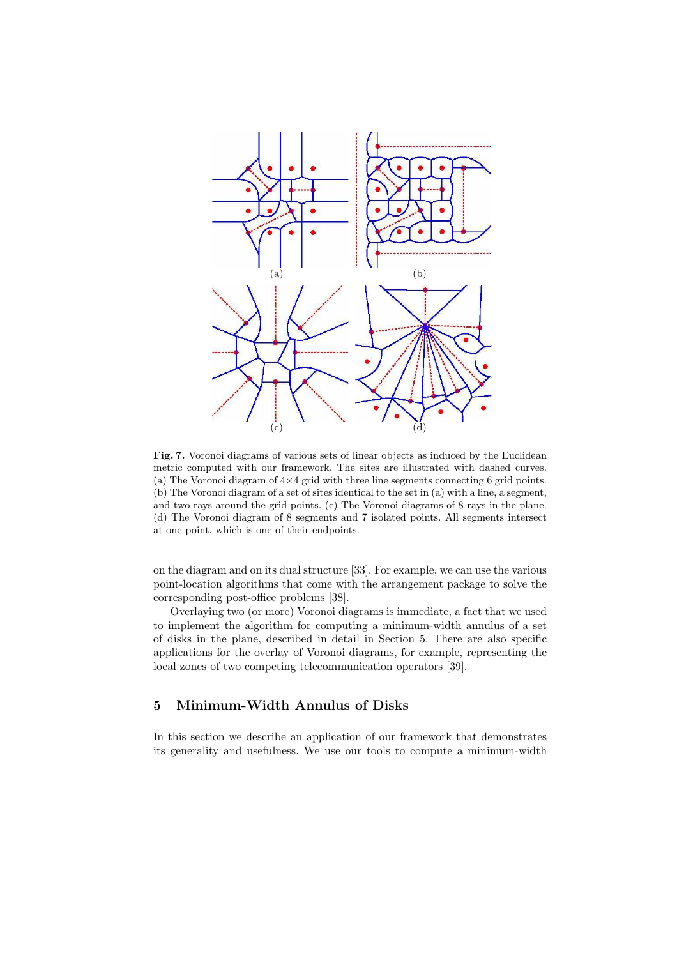

Fig. 7. Voronoi diagrams of various sets of linear objects as induced by the Euclidean metric computed with our framework. The sites are illustrated with dashed curves. (a) The Voronoi diagram of  $4 \times 4$  grid with three line segments connecting 6 grid points. (b) The Voronoi diagram of a set of sites identical to the set in (a) with a line, a segment, and two rays around the grid points. (c) The Voronoi diagrams of 8 rays in the plane. (d) The Voronoi diagram of 8 segments and 7 isolated points. All segments intersect at one point, which is one of their endpoints.

on the diagram and on its dual structure [33]. For example, we can use the various point-location algorithms that come with the arrangement package to solve the corresponding post-office problems [38].

Overlaying two (or more) Voronoi diagrams is immediate, a fact that we used to implement the algorithm for computing a minimum-width annulus of a set of disks in the plane, described in detail in Section 5. There are also specific applications for the overlay of Voronoi diagrams, for example, representing the local zones of two competing telecommunication operators [39].

# 5 Minimum-Width Annulus of Disks

In this section we describe an application of our framework that demonstrates its generality and usefulness. We use our tools to compute a minimum-width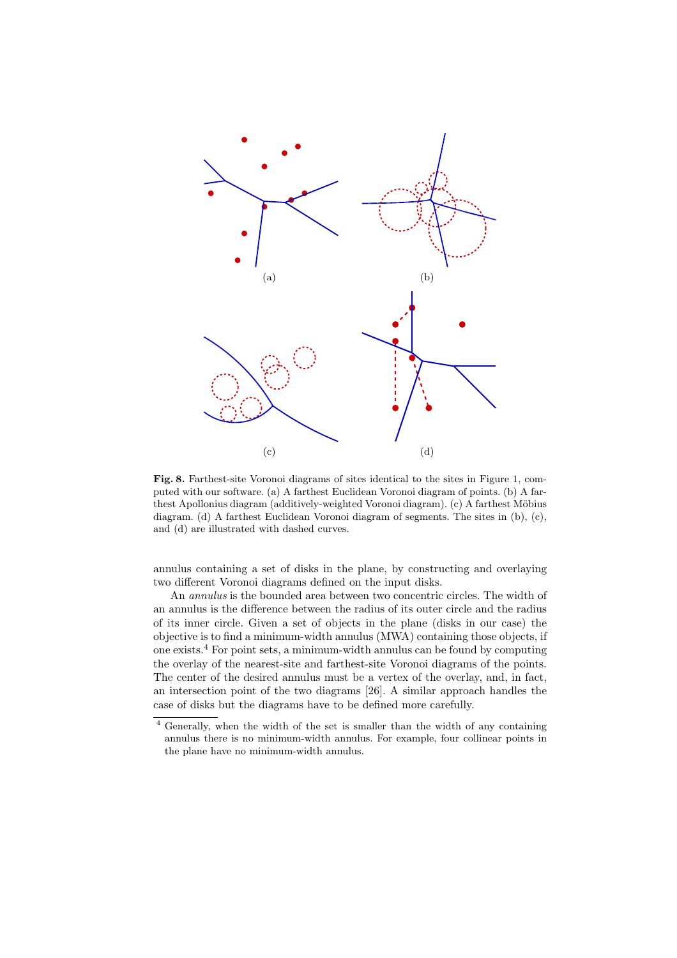

Fig. 8. Farthest-site Voronoi diagrams of sites identical to the sites in Figure 1, computed with our software. (a) A farthest Euclidean Voronoi diagram of points. (b) A farthest Apollonius diagram (additively-weighted Voronoi diagram). (c) A farthest Möbius diagram. (d) A farthest Euclidean Voronoi diagram of segments. The sites in (b), (c), and (d) are illustrated with dashed curves.

annulus containing a set of disks in the plane, by constructing and overlaying two different Voronoi diagrams defined on the input disks.

An *annulus* is the bounded area between two concentric circles. The width of an annulus is the difference between the radius of its outer circle and the radius of its inner circle. Given a set of objects in the plane (disks in our case) the objective is to find a minimum-width annulus (MWA) containing those objects, if one exists.<sup>4</sup> For point sets, a minimum-width annulus can be found by computing the overlay of the nearest-site and farthest-site Voronoi diagrams of the points. The center of the desired annulus must be a vertex of the overlay, and, in fact, an intersection point of the two diagrams [26]. A similar approach handles the case of disks but the diagrams have to be defined more carefully.

<sup>4</sup> Generally, when the width of the set is smaller than the width of any containing annulus there is no minimum-width annulus. For example, four collinear points in the plane have no minimum-width annulus.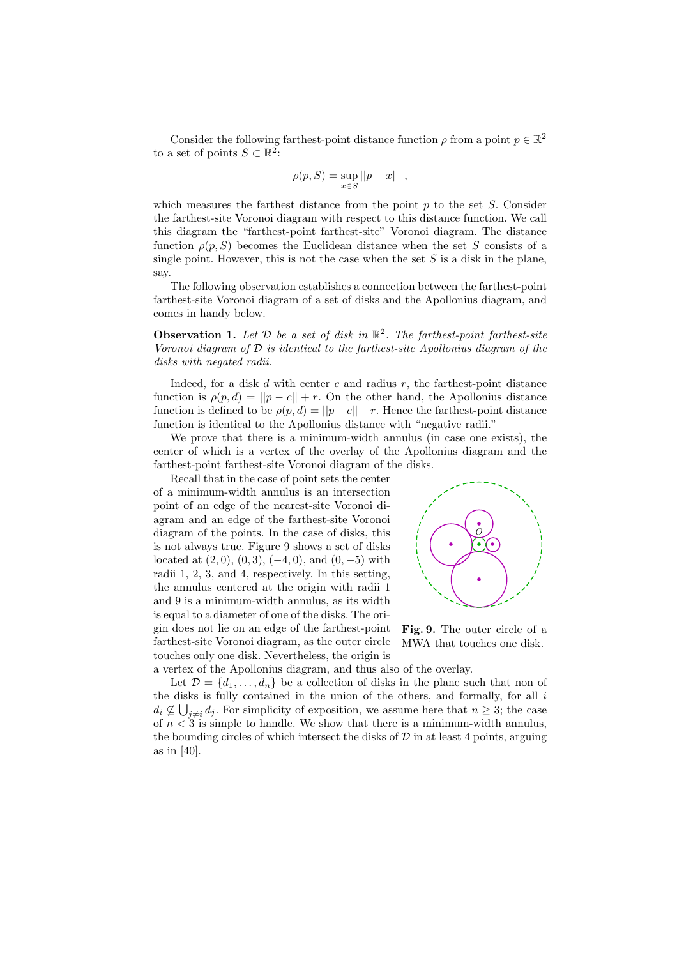Consider the following farthest-point distance function  $\rho$  from a point  $p \in \mathbb{R}^2$ to a set of points  $S \subset \mathbb{R}^2$ :

$$
\rho(p, S) = \sup_{x \in S} ||p - x|| ,
$$

which measures the farthest distance from the point  $p$  to the set  $S$ . Consider the farthest-site Voronoi diagram with respect to this distance function. We call this diagram the "farthest-point farthest-site" Voronoi diagram. The distance function  $\rho(p, S)$  becomes the Euclidean distance when the set S consists of a single point. However, this is not the case when the set  $S$  is a disk in the plane, say.

The following observation establishes a connection between the farthest-point farthest-site Voronoi diagram of a set of disks and the Apollonius diagram, and comes in handy below.

Observation 1. *Let* D *be a set of disk in* R 2 *. The farthest-point farthest-site Voronoi diagram of* D *is identical to the farthest-site Apollonius diagram of the disks with negated radii.*

Indeed, for a disk  $d$  with center  $c$  and radius  $r$ , the farthest-point distance function is  $\rho(p,d) = ||p - c|| + r$ . On the other hand, the Apollonius distance function is defined to be  $\rho(p,d) = ||p-c|| - r$ . Hence the farthest-point distance function is identical to the Apollonius distance with "negative radii."

We prove that there is a minimum-width annulus (in case one exists), the center of which is a vertex of the overlay of the Apollonius diagram and the farthest-point farthest-site Voronoi diagram of the disks.

Recall that in the case of point sets the center of a minimum-width annulus is an intersection point of an edge of the nearest-site Voronoi diagram and an edge of the farthest-site Voronoi diagram of the points. In the case of disks, this is not always true. Figure 9 shows a set of disks located at  $(2, 0)$ ,  $(0, 3)$ ,  $(-4, 0)$ , and  $(0, -5)$  with radii 1, 2, 3, and 4, respectively. In this setting, the annulus centered at the origin with radii 1 and 9 is a minimum-width annulus, as its width is equal to a diameter of one of the disks. The origin does not lie on an edge of the farthest-point farthest-site Voronoi diagram, as the outer circle touches only one disk. Nevertheless, the origin is



Fig. 9. The outer circle of a MWA that touches one disk.

a vertex of the Apollonius diagram, and thus also of the overlay.

Let  $\mathcal{D} = \{d_1, \ldots, d_n\}$  be a collection of disks in the plane such that non of the disks is fully contained in the union of the others, and formally, for all  $i$  $d_i \nsubseteq \bigcup_{j \neq i} d_j$ . For simplicity of exposition, we assume here that  $n \geq 3$ ; the case of  $n < 3$  is simple to handle. We show that there is a minimum-width annulus, the bounding circles of which intersect the disks of  $\mathcal D$  in at least 4 points, arguing as in [40].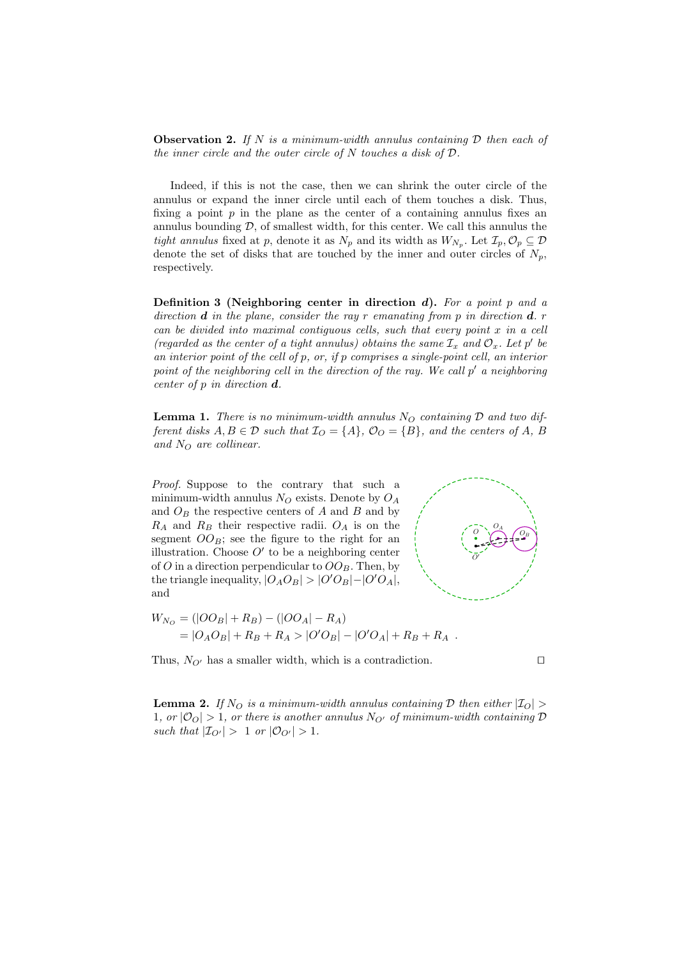Observation 2. *If* N *is a minimum-width annulus containing* D *then each of the inner circle and the outer circle of* N *touches a disk of* D*.*

Indeed, if this is not the case, then we can shrink the outer circle of the annulus or expand the inner circle until each of them touches a disk. Thus, fixing a point  $p$  in the plane as the center of a containing annulus fixes an annulus bounding  $D$ , of smallest width, for this center. We call this annulus the *tight annulus* fixed at p, denote it as  $N_p$  and its width as  $W_{N_p}$ . Let  $\mathcal{I}_p, \mathcal{O}_p \subseteq \mathcal{D}$ denote the set of disks that are touched by the inner and outer circles of  $N_p$ , respectively.

Definition 3 (Neighboring center in direction d). *For a point* p *and a direction* d *in the plane, consider the ray* r *emanating from* p *in direction* d*.* r *can be divided into maximal contiguous cells, such that every point x in a cell (regarded as the center of a tight annulus) obtains the same*  $\mathcal{I}_x$  and  $\mathcal{O}_x$ *. Let*  $p'$  be *an interior point of the cell of* p*, or, if* p *comprises a single-point cell, an interior* point of the neighboring cell in the direction of the ray. We call p' a neighboring *center of* p *in direction* d*.*

**Lemma 1.** There is no minimum-width annulus  $N_Q$  containing  $\mathcal D$  and two dif*ferent disks*  $A, B \in \mathcal{D}$  *such that*  $\mathcal{I}_O = \{A\}, \mathcal{O}_O = \{B\}$ *, and the centers of* A*, B* and  $N_Q$  are collinear.

*Proof.* Suppose to the contrary that such a minimum-width annulus  $N_Q$  exists. Denote by  $O_A$ and  $O_B$  the respective centers of  $A$  and  $B$  and by  $R_A$  and  $R_B$  their respective radii.  $O_A$  is on the segment  $OO_B$ ; see the figure to the right for an illustration. Choose  $O'$  to be a neighboring center of O in a direction perpendicular to  $OO_B$ . Then, by the triangle inequality,  $|O_A O_B| > |O' O_B| - |O' O_A|$ , and

$$
W_{N_O} = (|OO_B| + R_B) - (|OO_A| - R_A)
$$
  
=  $|O_A O_B| + R_B + R_A > |O'O_B| - |O'O_A| + R_B + R_A$ .

Thus,  $N_{O'}$  has a smaller width, which is a contradiction. □



**Lemma 2.** If  $N_Q$  is a minimum-width annulus containing D then either  $|\mathcal{I}_Q|$ 1, or  $|O_{\mathcal{O}}| > 1$ , or there is another annulus  $N_{\mathcal{O}}$  of minimum-width containing  $\mathcal{D}$ *such that*  $|\mathcal{I}_{O'}| > 1$  *or*  $|\mathcal{O}_{O'}| > 1$ *.*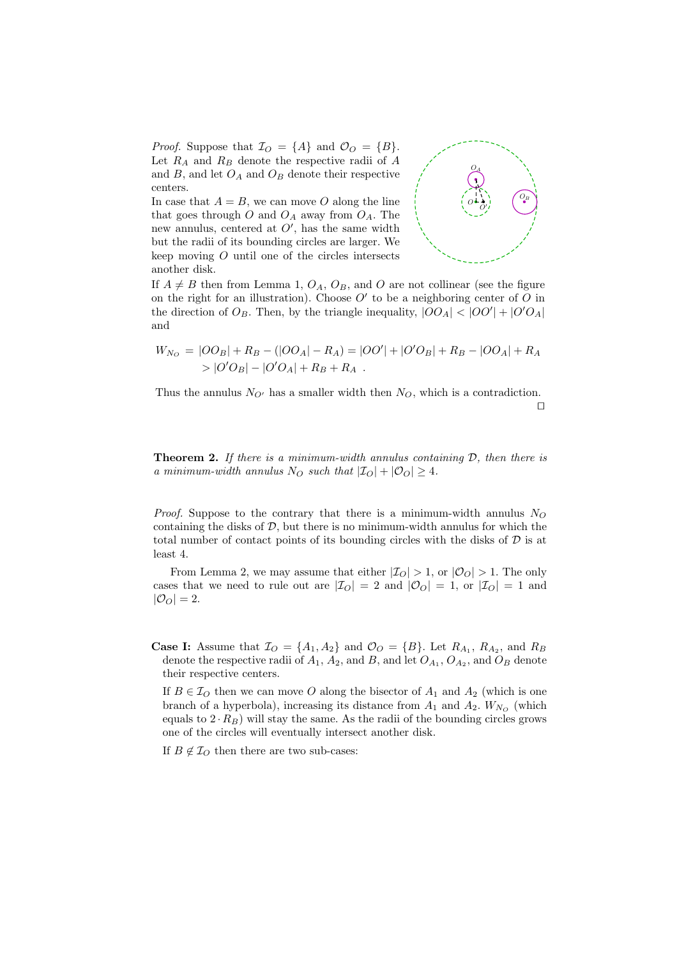*Proof.* Suppose that  $\mathcal{I}_O = \{A\}$  and  $\mathcal{O}_O = \{B\}.$ Let  $R_A$  and  $R_B$  denote the respective radii of  $A$ and  $B$ , and let  $O<sub>A</sub>$  and  $O<sub>B</sub>$  denote their respective centers.

In case that  $A = B$ , we can move O along the line that goes through  $O$  and  $O_A$  away from  $O_A$ . The new annulus, centered at  $O'$ , has the same width but the radii of its bounding circles are larger. We keep moving O until one of the circles intersects another disk.



If  $A \neq B$  then from Lemma 1,  $O_A$ ,  $O_B$ , and O are not collinear (see the figure on the right for an illustration). Choose  $O'$  to be a neighboring center of  $O$  in the direction of  $O_B$ . Then, by the triangle inequality,  $|OO_A| < |OO'| + |O'O_A|$ and

$$
W_{N_O} = |OO_B| + R_B - (|OO_A| - R_A) = |OO'| + |O'O_B| + R_B - |OO_A| + R_A
$$
  
> |O'O\_B| - |O'O\_A| + R\_B + R\_A.

Thus the annulus  $N_{O'}$  has a smaller width then  $N_O$ , which is a contradiction.

⊓⊔

Theorem 2. *If there is a minimum-width annulus containing* D*, then there is a* minimum-width annulus  $N_O$  *such that*  $|\mathcal{I}_O| + |\mathcal{O}_O| \geq 4$ .

*Proof.* Suppose to the contrary that there is a minimum-width annulus  $N_O$ containing the disks of  $D$ , but there is no minimum-width annulus for which the total number of contact points of its bounding circles with the disks of  $D$  is at least 4.

From Lemma 2, we may assume that either  $|\mathcal{I}_O| > 1$ , or  $|\mathcal{O}_O| > 1$ . The only cases that we need to rule out are  $|\mathcal{I}_O| = 2$  and  $|\mathcal{O}_O| = 1$ , or  $|\mathcal{I}_O| = 1$  and  $|\mathcal{O}_O|=2.$ 

**Case I:** Assume that  $\mathcal{I}_O = \{A_1, A_2\}$  and  $\mathcal{O}_O = \{B\}$ . Let  $R_{A_1}, R_{A_2}$ , and  $R_B$ denote the respective radii of  $A_1$ ,  $A_2$ , and  $B$ , and let  $O_{A_1}$ ,  $O_{A_2}$ , and  $O_B$  denote their respective centers.

If  $B \in \mathcal{I}_O$  then we can move O along the bisector of  $A_1$  and  $A_2$  (which is one branch of a hyperbola), increasing its distance from  $A_1$  and  $A_2$ .  $W_{N_O}$  (which equals to  $2 \cdot R_B$ ) will stay the same. As the radii of the bounding circles grows one of the circles will eventually intersect another disk.

If  $B \notin \mathcal{I}_O$  then there are two sub-cases: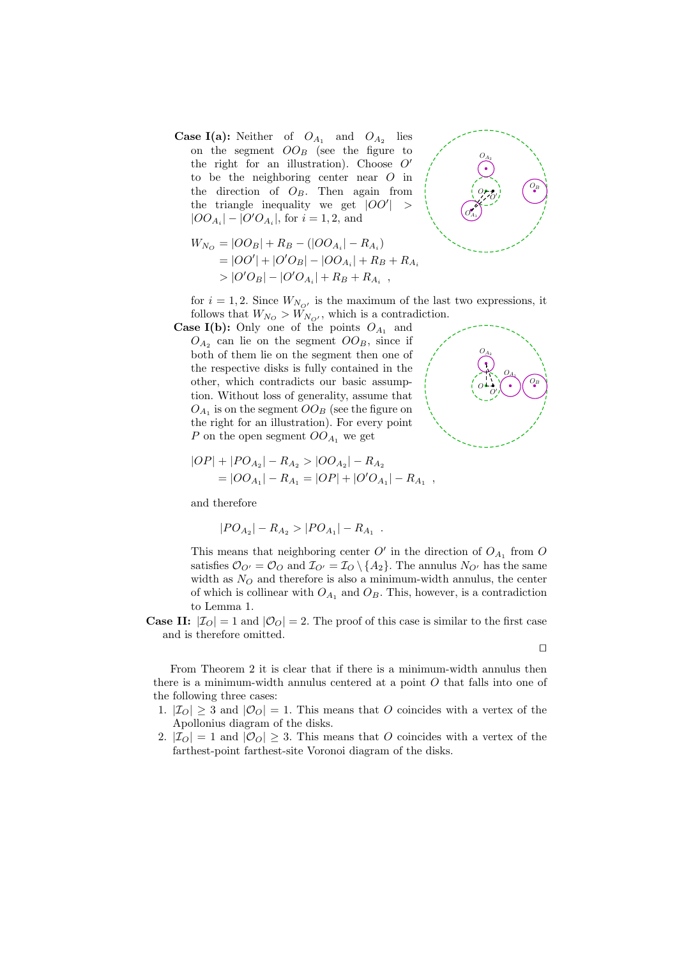- **Case I(a):** Neither of  $O_{A_1}$  and  $O_{A_2}$  lies on the segment  $OO_B$  (see the figure to the right for an illustration). Choose  $O'$ to be the neighboring center near O in the direction of  $O_B$ . Then again from the triangle inequality we get  $|OO'|$  $\rightarrow$  $|OO_{A_i}| - |O'O_{A_i}|$ , for  $i = 1, 2$ , and
	- $W_{N_O} = |OO_B| + R_B (|OO_{A_i}| R_{A_i})$  $= |OO'| + |O'O_B| - |OO_{A_i}| + R_B + R_{A_i}$  $> |O'O_B| - |O'O_{A_i}| + R_B + R_{A_i}$



for  $i = 1, 2$ . Since  $W_{N_{\scriptscriptstyle O}}$  is the maximum of the last two expressions, it follows that  $W_{N_O} > W_{N_{O'}}$ , which is a contradiction.

**Case I(b):** Only one of the points  $O_{A_1}$  and  $O_{A_2}$  can lie on the segment  $OO_B$ , since if both of them lie on the segment then one of the respective disks is fully contained in the other, which contradicts our basic assumption. Without loss of generality, assume that  $O_{A_1}$  is on the segment  $OO_B$  (see the figure on the right for an illustration). For every point P on the open segment  $OO_{A_1}$  we get



,

$$
|OP| + |PO_{A_2}| - R_{A_2} > |OO_{A_2}| - R_{A_2}
$$
  
= |OO<sub>A\_1</sub>| - R<sub>A\_1</sub> = |OP| + |O'O<sub>A\_1</sub>| - R<sub>A\_1</sub>

and therefore

$$
|PO_{A_2}| - R_{A_2} > |PO_{A_1}| - R_{A_1}.
$$

This means that neighboring center  $O'$  in the direction of  $O_{A_1}$  from  $O$ satisfies  $\mathcal{O}_{O'} = \mathcal{O}_{O}$  and  $\mathcal{I}_{O'} = \mathcal{I}_{O} \setminus \{A_2\}$ . The annulus  $N_{O'}$  has the same width as  $N_Q$  and therefore is also a minimum-width annulus, the center of which is collinear with  $O_{A_1}$  and  $O_B$ . This, however, is a contradiction to Lemma 1.

**Case II:**  $|\mathcal{I}_O| = 1$  and  $|\mathcal{O}_O| = 2$ . The proof of this case is similar to the first case and is therefore omitted.

⊓⊔

From Theorem 2 it is clear that if there is a minimum-width annulus then there is a minimum-width annulus centered at a point O that falls into one of the following three cases:

- 1.  $|\mathcal{I}_O| \geq 3$  and  $|\mathcal{O}_O| = 1$ . This means that O coincides with a vertex of the Apollonius diagram of the disks.
- 2.  $|\mathcal{I}_O| = 1$  and  $|\mathcal{O}_O| \geq 3$ . This means that O coincides with a vertex of the farthest-point farthest-site Voronoi diagram of the disks.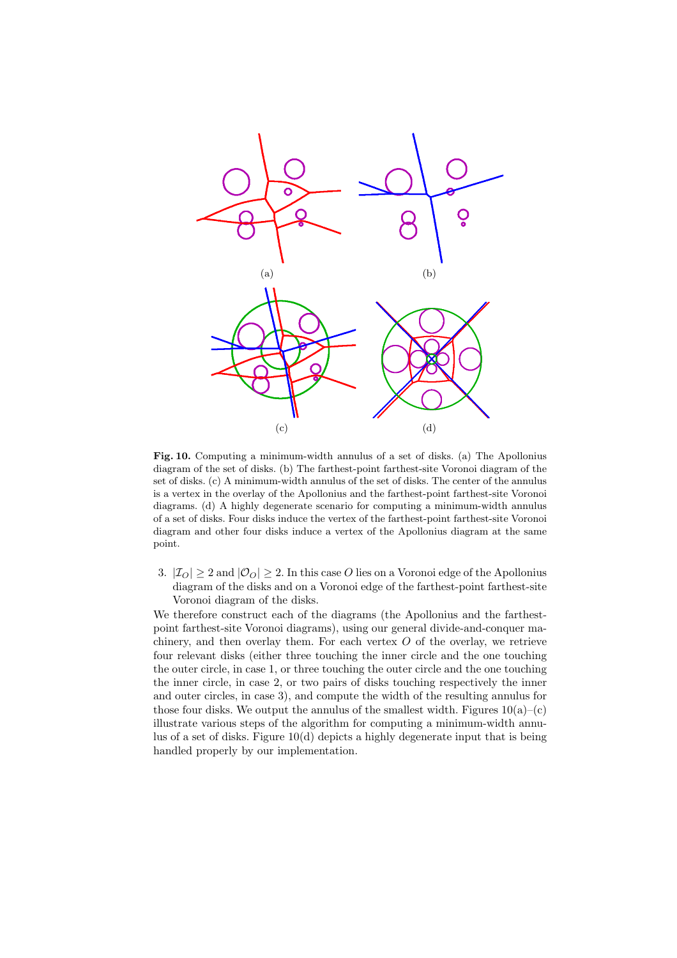

Fig. 10. Computing a minimum-width annulus of a set of disks. (a) The Apollonius diagram of the set of disks. (b) The farthest-point farthest-site Voronoi diagram of the set of disks. (c) A minimum-width annulus of the set of disks. The center of the annulus is a vertex in the overlay of the Apollonius and the farthest-point farthest-site Voronoi diagrams. (d) A highly degenerate scenario for computing a minimum-width annulus of a set of disks. Four disks induce the vertex of the farthest-point farthest-site Voronoi diagram and other four disks induce a vertex of the Apollonius diagram at the same point.

3.  $|\mathcal{I}_O| \geq 2$  and  $|\mathcal{O}_O| \geq 2$ . In this case O lies on a Voronoi edge of the Apollonius diagram of the disks and on a Voronoi edge of the farthest-point farthest-site Voronoi diagram of the disks.

We therefore construct each of the diagrams (the Apollonius and the farthestpoint farthest-site Voronoi diagrams), using our general divide-and-conquer machinery, and then overlay them. For each vertex  $O$  of the overlay, we retrieve four relevant disks (either three touching the inner circle and the one touching the outer circle, in case 1, or three touching the outer circle and the one touching the inner circle, in case 2, or two pairs of disks touching respectively the inner and outer circles, in case 3), and compute the width of the resulting annulus for those four disks. We output the annulus of the smallest width. Figures  $10(a)$ –(c) illustrate various steps of the algorithm for computing a minimum-width annulus of a set of disks. Figure  $10(d)$  depicts a highly degenerate input that is being handled properly by our implementation.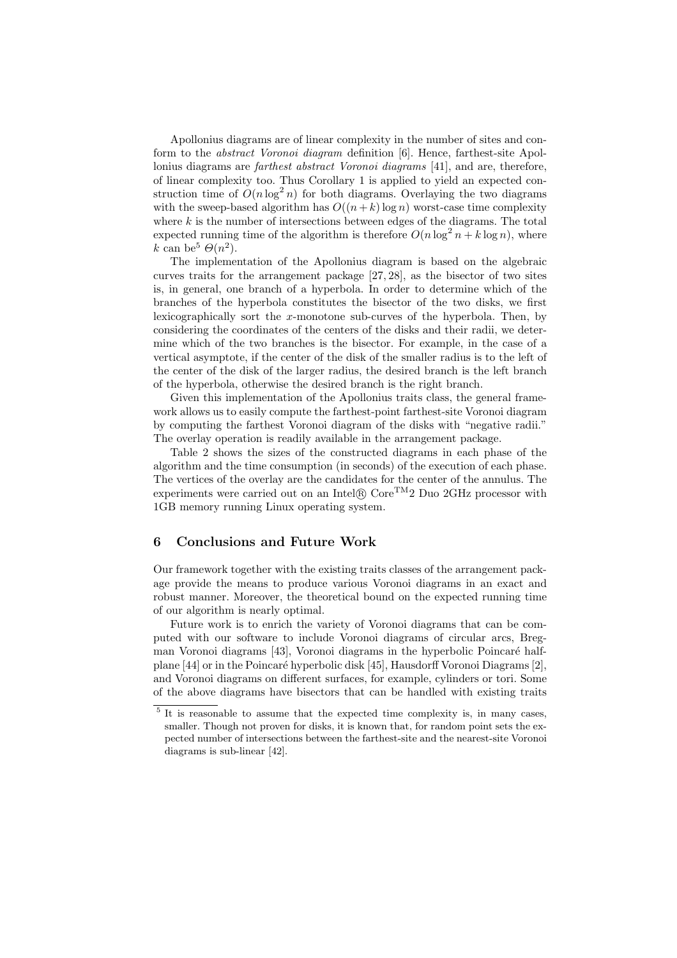Apollonius diagrams are of linear complexity in the number of sites and conform to the *abstract Voronoi diagram* definition [6]. Hence, farthest-site Apollonius diagrams are *farthest abstract Voronoi diagrams* [41], and are, therefore, of linear complexity too. Thus Corollary 1 is applied to yield an expected construction time of  $O(n \log^2 n)$  for both diagrams. Overlaying the two diagrams with the sweep-based algorithm has  $O((n+k) \log n)$  worst-case time complexity where  $k$  is the number of intersections between edges of the diagrams. The total expected running time of the algorithm is therefore  $O(n \log^2 n + k \log n)$ , where k can be<sup>5</sup>  $\Theta(n^2)$ .

The implementation of the Apollonius diagram is based on the algebraic curves traits for the arrangement package [27, 28], as the bisector of two sites is, in general, one branch of a hyperbola. In order to determine which of the branches of the hyperbola constitutes the bisector of the two disks, we first lexicographically sort the x-monotone sub-curves of the hyperbola. Then, by considering the coordinates of the centers of the disks and their radii, we determine which of the two branches is the bisector. For example, in the case of a vertical asymptote, if the center of the disk of the smaller radius is to the left of the center of the disk of the larger radius, the desired branch is the left branch of the hyperbola, otherwise the desired branch is the right branch.

Given this implementation of the Apollonius traits class, the general framework allows us to easily compute the farthest-point farthest-site Voronoi diagram by computing the farthest Voronoi diagram of the disks with "negative radii." The overlay operation is readily available in the arrangement package.

Table 2 shows the sizes of the constructed diagrams in each phase of the algorithm and the time consumption (in seconds) of the execution of each phase. The vertices of the overlay are the candidates for the center of the annulus. The experiments were carried out on an Intel $\mathbb R$  Core<sup>TM</sup>2 Duo 2GHz processor with 1GB memory running Linux operating system.

#### 6 Conclusions and Future Work

Our framework together with the existing traits classes of the arrangement package provide the means to produce various Voronoi diagrams in an exact and robust manner. Moreover, the theoretical bound on the expected running time of our algorithm is nearly optimal.

Future work is to enrich the variety of Voronoi diagrams that can be computed with our software to include Voronoi diagrams of circular arcs, Bregman Voronoi diagrams [43], Voronoi diagrams in the hyperbolic Poincaré halfplane [44] or in the Poincaré hyperbolic disk [45], Hausdorff Voronoi Diagrams [2], and Voronoi diagrams on different surfaces, for example, cylinders or tori. Some of the above diagrams have bisectors that can be handled with existing traits

<sup>&</sup>lt;sup>5</sup> It is reasonable to assume that the expected time complexity is, in many cases, smaller. Though not proven for disks, it is known that, for random point sets the expected number of intersections between the farthest-site and the nearest-site Voronoi diagrams is sub-linear [42].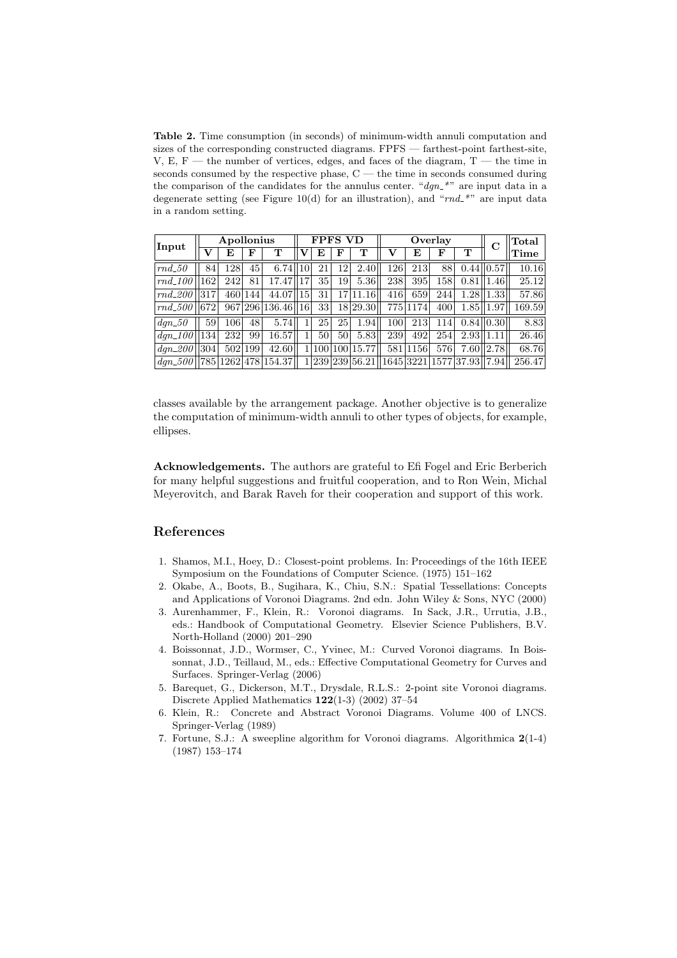Table 2. Time consumption (in seconds) of minimum-width annuli computation and sizes of the corresponding constructed diagrams. FPFS — farthest-point farthest-site, V, E,  $F$  — the number of vertices, edges, and faces of the diagram,  $T$  — the time in seconds consumed by the respective phase, C — the time in seconds consumed during the comparison of the candidates for the annulus center. " $dgn_{-}^*$ " are input data in a degenerate setting (see Figure 10(d) for an illustration), and " $rnd_{\perp}$ " are input data in a random setting.

| Input                                         | Apollonius              |     |         | <b>FPFS VD</b>      |     |    | Overlay         |                 |     |          | $\rm Total$ |                               |               |        |
|-----------------------------------------------|-------------------------|-----|---------|---------------------|-----|----|-----------------|-----------------|-----|----------|-------------|-------------------------------|---------------|--------|
|                                               | $\overline{\mathbf{V}}$ | E   | F       | т                   | V   | E  | F               | т               | v   | E        | F           | т                             |               | Time   |
| $\lfloor rnd\_50$                             | 84                      | 128 | 45      | 6.74                | 110 | 21 | 12              | 2.40            | 126 | 213      | 88          |                               | 0.44  0.57    | 10.16  |
| $\lfloor rnd\_100$                            | 162                     | 242 | 81      | 17.47               | 17  | 35 | 19              | 5.36            | 238 | 395      | 158         |                               | $0.81$   1.46 | 25.12  |
| $rnd\_200$                                    | 317                     |     | 460 144 | 44.07               | 15  | 31 | 17 <sup>1</sup> | 11.16           | 416 | 659      | 244         |                               | 1.28 1.33     | 57.86  |
| $\vert$ rnd_500 $\vert$                       | 672                     |     |         | 967 296 136.46 16   |     | 33 |                 | 18 29.30        |     | 775 1174 | 400         |                               | 1.85  1.97    | 169.59 |
| $\left\lfloor \frac{dqn-50}{2} \right\rfloor$ | 59                      | 106 | 48      | 5.74                |     | 25 | 25              | 1.94            | 100 | 213      | 114         |                               | 0.84  0.30    | 8.83   |
| $\lfloor dqn_{-}100 \rfloor$                  | 134                     | 232 | 99      | 16.57               |     | 50 | 50              | 5.83            | 239 | 492      | 254         |                               | $2.93$   1.11 | 26.46  |
| $\frac{d}{d}$ an $\frac{200}{ }$              | 304                     |     | 502 199 | 42.60               |     |    |                 | 100 100 15.77   |     | 581 1156 | 576         |                               | 7.60 2.78     | 68.76  |
| $\lfloor dqn_{-}500 \rfloor$                  |                         |     |         | 785 1262 478 154.37 |     |    |                 | 1 239 239 56.21 |     |          |             | 1645  3221  1577  37.93  7.94 |               | 256.47 |

classes available by the arrangement package. Another objective is to generalize the computation of minimum-width annuli to other types of objects, for example, ellipses.

Acknowledgements. The authors are grateful to Efi Fogel and Eric Berberich for many helpful suggestions and fruitful cooperation, and to Ron Wein, Michal Meyerovitch, and Barak Raveh for their cooperation and support of this work.

#### References

- 1. Shamos, M.I., Hoey, D.: Closest-point problems. In: Proceedings of the 16th IEEE Symposium on the Foundations of Computer Science. (1975) 151–162
- 2. Okabe, A., Boots, B., Sugihara, K., Chiu, S.N.: Spatial Tessellations: Concepts and Applications of Voronoi Diagrams. 2nd edn. John Wiley & Sons, NYC (2000)
- 3. Aurenhammer, F., Klein, R.: Voronoi diagrams. In Sack, J.R., Urrutia, J.B., eds.: Handbook of Computational Geometry. Elsevier Science Publishers, B.V. North-Holland (2000) 201–290
- 4. Boissonnat, J.D., Wormser, C., Yvinec, M.: Curved Voronoi diagrams. In Boissonnat, J.D., Teillaud, M., eds.: Effective Computational Geometry for Curves and Surfaces. Springer-Verlag (2006)
- 5. Barequet, G., Dickerson, M.T., Drysdale, R.L.S.: 2-point site Voronoi diagrams. Discrete Applied Mathematics 122(1-3) (2002) 37–54
- 6. Klein, R.: Concrete and Abstract Voronoi Diagrams. Volume 400 of LNCS. Springer-Verlag (1989)
- 7. Fortune, S.J.: A sweepline algorithm for Voronoi diagrams. Algorithmica 2(1-4) (1987) 153–174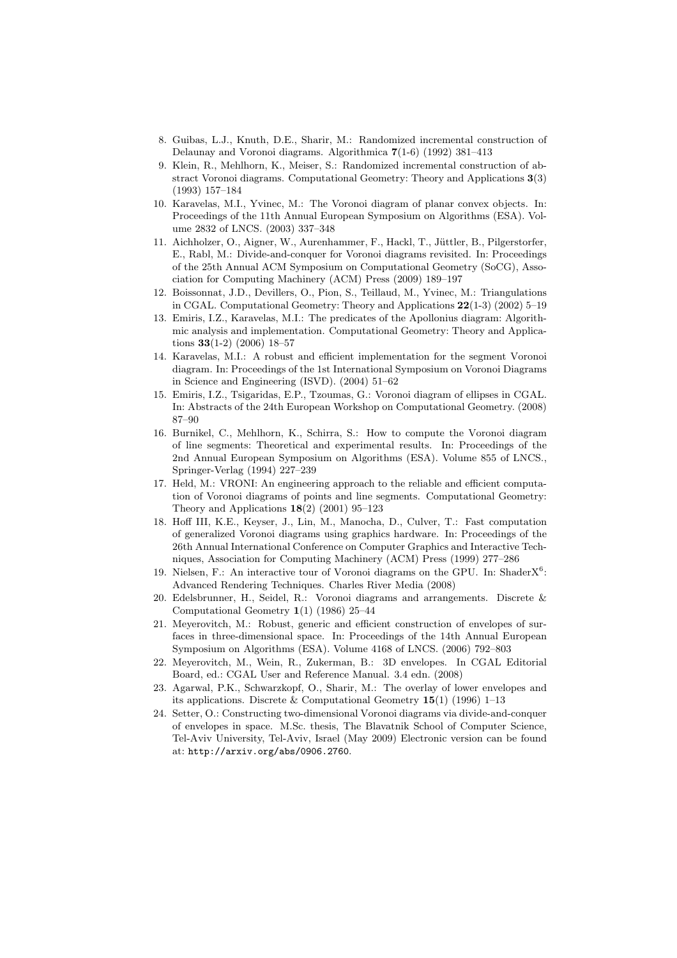- 8. Guibas, L.J., Knuth, D.E., Sharir, M.: Randomized incremental construction of Delaunay and Voronoi diagrams. Algorithmica 7(1-6) (1992) 381–413
- 9. Klein, R., Mehlhorn, K., Meiser, S.: Randomized incremental construction of abstract Voronoi diagrams. Computational Geometry: Theory and Applications 3(3) (1993) 157–184
- 10. Karavelas, M.I., Yvinec, M.: The Voronoi diagram of planar convex objects. In: Proceedings of the 11th Annual European Symposium on Algorithms (ESA). Volume 2832 of LNCS. (2003) 337–348
- 11. Aichholzer, O., Aigner, W., Aurenhammer, F., Hackl, T., Jüttler, B., Pilgerstorfer, E., Rabl, M.: Divide-and-conquer for Voronoi diagrams revisited. In: Proceedings of the 25th Annual ACM Symposium on Computational Geometry (SoCG), Association for Computing Machinery (ACM) Press (2009) 189–197
- 12. Boissonnat, J.D., Devillers, O., Pion, S., Teillaud, M., Yvinec, M.: Triangulations in CGAL. Computational Geometry: Theory and Applications 22(1-3) (2002) 5–19
- 13. Emiris, I.Z., Karavelas, M.I.: The predicates of the Apollonius diagram: Algorithmic analysis and implementation. Computational Geometry: Theory and Applications  $33(1-2)$  (2006)  $18-57$
- 14. Karavelas, M.I.: A robust and efficient implementation for the segment Voronoi diagram. In: Proceedings of the 1st International Symposium on Voronoi Diagrams in Science and Engineering (ISVD). (2004) 51–62
- 15. Emiris, I.Z., Tsigaridas, E.P., Tzoumas, G.: Voronoi diagram of ellipses in CGAL. In: Abstracts of the 24th European Workshop on Computational Geometry. (2008) 87–90
- 16. Burnikel, C., Mehlhorn, K., Schirra, S.: How to compute the Voronoi diagram of line segments: Theoretical and experimental results. In: Proceedings of the 2nd Annual European Symposium on Algorithms (ESA). Volume 855 of LNCS., Springer-Verlag (1994) 227–239
- 17. Held, M.: VRONI: An engineering approach to the reliable and efficient computation of Voronoi diagrams of points and line segments. Computational Geometry: Theory and Applications  $18(2)$  (2001) 95–123
- 18. Hoff III, K.E., Keyser, J., Lin, M., Manocha, D., Culver, T.: Fast computation of generalized Voronoi diagrams using graphics hardware. In: Proceedings of the 26th Annual International Conference on Computer Graphics and Interactive Techniques, Association for Computing Machinery (ACM) Press (1999) 277–286
- 19. Nielsen, F.: An interactive tour of Voronoi diagrams on the GPU. In: Shader $X^6$ : Advanced Rendering Techniques. Charles River Media (2008)
- 20. Edelsbrunner, H., Seidel, R.: Voronoi diagrams and arrangements. Discrete & Computational Geometry 1(1) (1986) 25–44
- 21. Meyerovitch, M.: Robust, generic and efficient construction of envelopes of surfaces in three-dimensional space. In: Proceedings of the 14th Annual European Symposium on Algorithms (ESA). Volume 4168 of LNCS. (2006) 792–803
- 22. Meyerovitch, M., Wein, R., Zukerman, B.: 3D envelopes. In CGAL Editorial Board, ed.: CGAL User and Reference Manual. 3.4 edn. (2008)
- 23. Agarwal, P.K., Schwarzkopf, O., Sharir, M.: The overlay of lower envelopes and its applications. Discrete & Computational Geometry  $15(1)$  (1996) 1–13
- 24. Setter, O.: Constructing two-dimensional Voronoi diagrams via divide-and-conquer of envelopes in space. M.Sc. thesis, The Blavatnik School of Computer Science, Tel-Aviv University, Tel-Aviv, Israel (May 2009) Electronic version can be found at: http://arxiv.org/abs/0906.2760.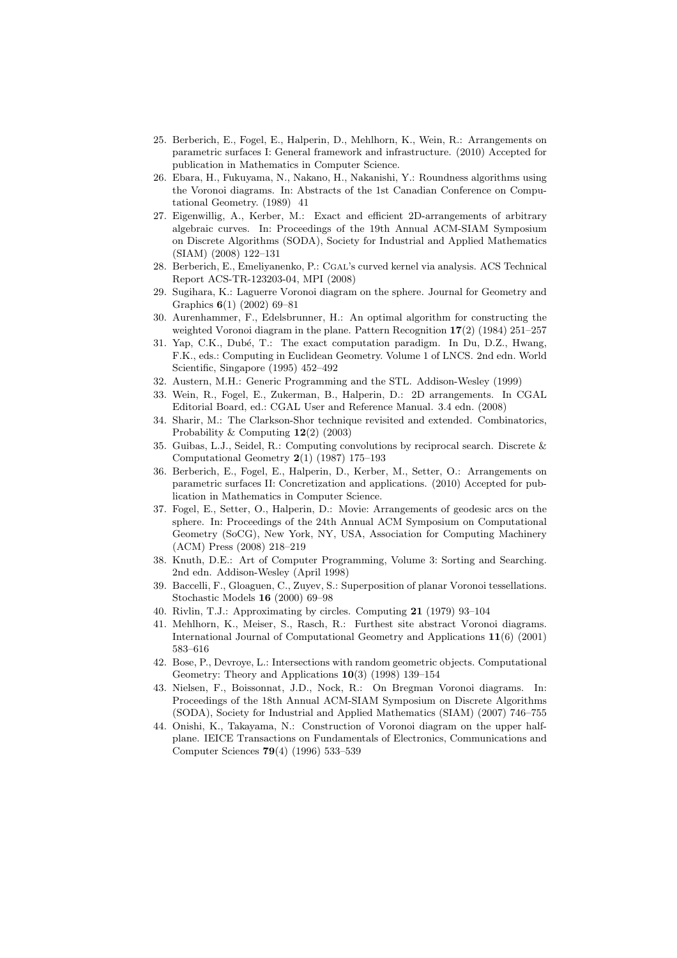- 25. Berberich, E., Fogel, E., Halperin, D., Mehlhorn, K., Wein, R.: Arrangements on parametric surfaces I: General framework and infrastructure. (2010) Accepted for publication in Mathematics in Computer Science.
- 26. Ebara, H., Fukuyama, N., Nakano, H., Nakanishi, Y.: Roundness algorithms using the Voronoi diagrams. In: Abstracts of the 1st Canadian Conference on Computational Geometry. (1989) 41
- 27. Eigenwillig, A., Kerber, M.: Exact and efficient 2D-arrangements of arbitrary algebraic curves. In: Proceedings of the 19th Annual ACM-SIAM Symposium on Discrete Algorithms (SODA), Society for Industrial and Applied Mathematics (SIAM) (2008) 122–131
- 28. Berberich, E., Emeliyanenko, P.: Cgal's curved kernel via analysis. ACS Technical Report ACS-TR-123203-04, MPI (2008)
- 29. Sugihara, K.: Laguerre Voronoi diagram on the sphere. Journal for Geometry and Graphics 6(1) (2002) 69–81
- 30. Aurenhammer, F., Edelsbrunner, H.: An optimal algorithm for constructing the weighted Voronoi diagram in the plane. Pattern Recognition 17(2) (1984) 251–257
- 31. Yap, C.K., Dubé, T.: The exact computation paradigm. In Du, D.Z., Hwang, F.K., eds.: Computing in Euclidean Geometry. Volume 1 of LNCS. 2nd edn. World Scientific, Singapore (1995) 452–492
- 32. Austern, M.H.: Generic Programming and the STL. Addison-Wesley (1999)
- 33. Wein, R., Fogel, E., Zukerman, B., Halperin, D.: 2D arrangements. In CGAL Editorial Board, ed.: CGAL User and Reference Manual. 3.4 edn. (2008)
- 34. Sharir, M.: The Clarkson-Shor technique revisited and extended. Combinatorics, Probability & Computing 12(2) (2003)
- 35. Guibas, L.J., Seidel, R.: Computing convolutions by reciprocal search. Discrete & Computational Geometry 2(1) (1987) 175–193
- 36. Berberich, E., Fogel, E., Halperin, D., Kerber, M., Setter, O.: Arrangements on parametric surfaces II: Concretization and applications. (2010) Accepted for publication in Mathematics in Computer Science.
- 37. Fogel, E., Setter, O., Halperin, D.: Movie: Arrangements of geodesic arcs on the sphere. In: Proceedings of the 24th Annual ACM Symposium on Computational Geometry (SoCG), New York, NY, USA, Association for Computing Machinery (ACM) Press (2008) 218–219
- 38. Knuth, D.E.: Art of Computer Programming, Volume 3: Sorting and Searching. 2nd edn. Addison-Wesley (April 1998)
- 39. Baccelli, F., Gloaguen, C., Zuyev, S.: Superposition of planar Voronoi tessellations. Stochastic Models 16 (2000) 69–98
- 40. Rivlin, T.J.: Approximating by circles. Computing 21 (1979) 93–104
- 41. Mehlhorn, K., Meiser, S., Rasch, R.: Furthest site abstract Voronoi diagrams. International Journal of Computational Geometry and Applications 11(6) (2001) 583–616
- 42. Bose, P., Devroye, L.: Intersections with random geometric objects. Computational Geometry: Theory and Applications 10(3) (1998) 139–154
- 43. Nielsen, F., Boissonnat, J.D., Nock, R.: On Bregman Voronoi diagrams. In: Proceedings of the 18th Annual ACM-SIAM Symposium on Discrete Algorithms (SODA), Society for Industrial and Applied Mathematics (SIAM) (2007) 746–755
- 44. Onishi, K., Takayama, N.: Construction of Voronoi diagram on the upper halfplane. IEICE Transactions on Fundamentals of Electronics, Communications and Computer Sciences 79(4) (1996) 533–539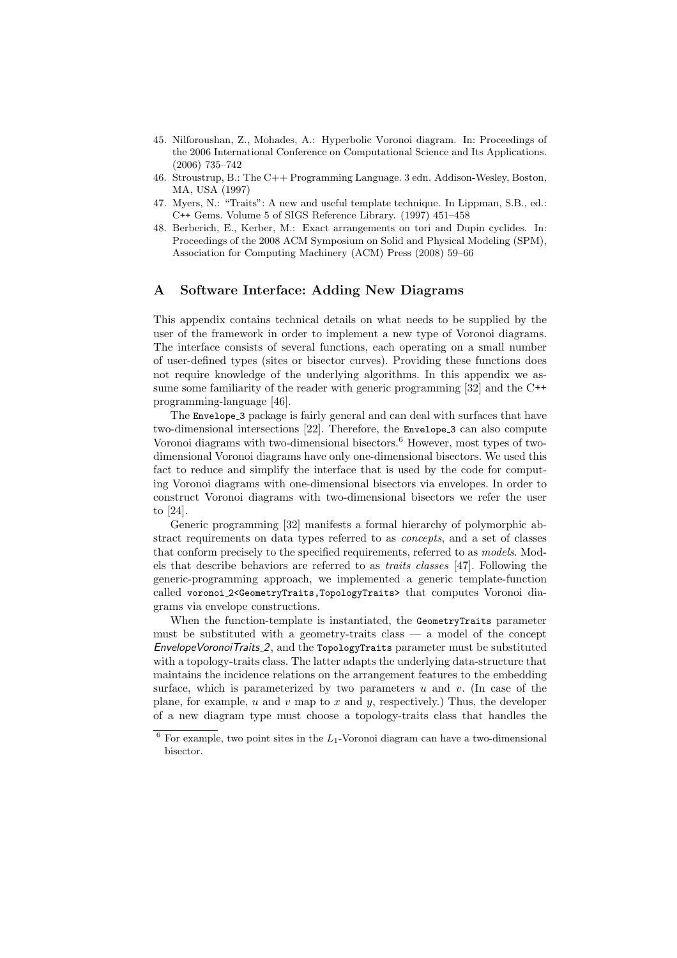- 45. Nilforoushan, Z., Mohades, A.: Hyperbolic Voronoi diagram. In: Proceedings of the 2006 International Conference on Computational Science and Its Applications. (2006) 735–742
- 46. Stroustrup, B.: The C++ Programming Language. 3 edn. Addison-Wesley, Boston, MA, USA (1997)
- 47. Myers, N.: "Traits": A new and useful template technique. In Lippman, S.B., ed.: C++ Gems. Volume 5 of SIGS Reference Library. (1997) 451–458
- 48. Berberich, E., Kerber, M.: Exact arrangements on tori and Dupin cyclides. In: Proceedings of the 2008 ACM Symposium on Solid and Physical Modeling (SPM), Association for Computing Machinery (ACM) Press (2008) 59–66

## A Software Interface: Adding New Diagrams

This appendix contains technical details on what needs to be supplied by the user of the framework in order to implement a new type of Voronoi diagrams. The interface consists of several functions, each operating on a small number of user-defined types (sites or bisector curves). Providing these functions does not require knowledge of the underlying algorithms. In this appendix we assume some familiarity of the reader with generic programming [32] and the C++ programming-language [46].

The Envelope<sub>-3</sub> package is fairly general and can deal with surfaces that have two-dimensional intersections [22]. Therefore, the Envelope 3 can also compute Voronoi diagrams with two-dimensional bisectors.<sup>6</sup> However, most types of twodimensional Voronoi diagrams have only one-dimensional bisectors. We used this fact to reduce and simplify the interface that is used by the code for computing Voronoi diagrams with one-dimensional bisectors via envelopes. In order to construct Voronoi diagrams with two-dimensional bisectors we refer the user to [24].

Generic programming [32] manifests a formal hierarchy of polymorphic abstract requirements on data types referred to as *concepts*, and a set of classes that conform precisely to the specified requirements, referred to as *models*. Models that describe behaviors are referred to as *traits classes* [47]. Following the generic-programming approach, we implemented a generic template-function called voronoi 2<GeometryTraits,TopologyTraits> that computes Voronoi diagrams via envelope constructions.

When the function-template is instantiated, the GeometryTraits parameter must be substituted with a geometry-traits class — a model of the concept EnvelopeVoronoiTraits 2, and the TopologyTraits parameter must be substituted with a topology-traits class. The latter adapts the underlying data-structure that maintains the incidence relations on the arrangement features to the embedding surface, which is parameterized by two parameters u and v. (In case of the plane, for example, u and v map to x and y, respectively.) Thus, the developer of a new diagram type must choose a topology-traits class that handles the

 $6$  For example, two point sites in the  $L_1$ -Voronoi diagram can have a two-dimensional bisector.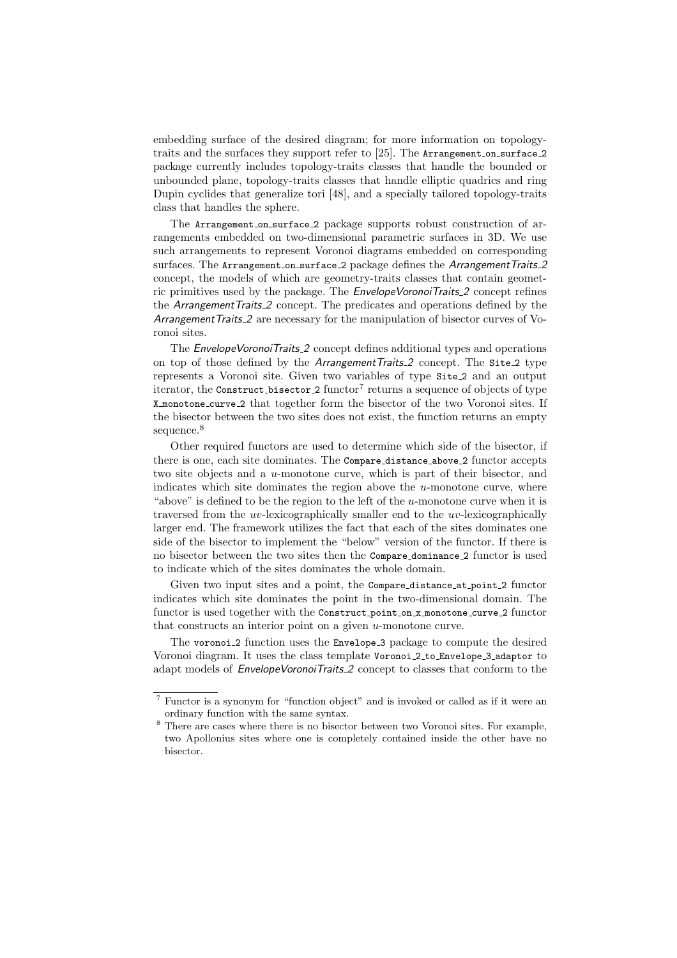embedding surface of the desired diagram; for more information on topologytraits and the surfaces they support refer to  $[25]$ . The Arrangement on surface 2 package currently includes topology-traits classes that handle the bounded or unbounded plane, topology-traits classes that handle elliptic quadrics and ring Dupin cyclides that generalize tori [48], and a specially tailored topology-traits class that handles the sphere.

The Arrangement on surface 2 package supports robust construction of arrangements embedded on two-dimensional parametric surfaces in 3D. We use such arrangements to represent Voronoi diagrams embedded on corresponding surfaces. The Arrangement on surface 2 package defines the Arrangement Traits 2 concept, the models of which are geometry-traits classes that contain geometric primitives used by the package. The *EnvelopeVoronoiTraits* 2 concept refines the Arrangement Traits 2 concept. The predicates and operations defined by the Arrangement Traits 2 are necessary for the manipulation of bisector curves of Voronoi sites.

The *EnvelopeVoronoiTraits\_2* concept defines additional types and operations on top of those defined by the ArrangementTraits<sub>2</sub> concept. The Site<sub>2</sub> type represents a Voronoi site. Given two variables of type Site 2 and an output iterator, the Construct bisector 2 functor<sup>7</sup> returns a sequence of objects of type X monotone curve 2 that together form the bisector of the two Voronoi sites. If the bisector between the two sites does not exist, the function returns an empty sequence.<sup>8</sup>

Other required functors are used to determine which side of the bisector, if there is one, each site dominates. The Compare distance above 2 functor accepts two site objects and a u-monotone curve, which is part of their bisector, and indicates which site dominates the region above the  $u$ -monotone curve, where "above" is defined to be the region to the left of the u-monotone curve when it is traversed from the uv-lexicographically smaller end to the uv-lexicographically larger end. The framework utilizes the fact that each of the sites dominates one side of the bisector to implement the "below" version of the functor. If there is no bisector between the two sites then the Compare dominance 2 functor is used to indicate which of the sites dominates the whole domain.

Given two input sites and a point, the Compare distance at point 2 functor indicates which site dominates the point in the two-dimensional domain. The functor is used together with the Construct point on x monotone curve 2 functor that constructs an interior point on a given u-monotone curve.

The voronoi 2 function uses the Envelope 3 package to compute the desired Voronoi diagram. It uses the class template Voronoi 2 to Envelope 3 adaptor to adapt models of EnvelopeVoronoiTraits 2 concept to classes that conform to the

<sup>7</sup> Functor is a synonym for "function object" and is invoked or called as if it were an ordinary function with the same syntax.

<sup>8</sup> There are cases where there is no bisector between two Voronoi sites. For example, two Apollonius sites where one is completely contained inside the other have no bisector.